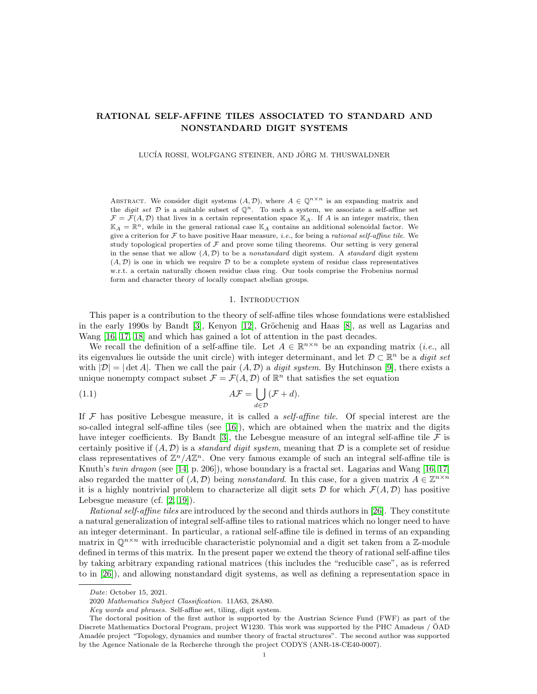# RATIONAL SELF-AFFINE TILES ASSOCIATED TO STANDARD AND NONSTANDARD DIGIT SYSTEMS

LUCÍA ROSSI, WOLFGANG STEINER, AND JÖRG M. THUSWALDNER

ABSTRACT. We consider digit systems  $(A, \mathcal{D})$ , where  $A \in \mathbb{Q}^{n \times n}$  is an expanding matrix and the *digit set*  $\mathcal D$  is a suitable subset of  $\mathbb Q^n$ . To such a system, we associate a self-affine set  $\mathcal{F} = \mathcal{F}(A, \mathcal{D})$  that lives in a certain representation space  $\mathbb{K}_A$ . If A is an integer matrix, then  $\mathbb{K}_A = \mathbb{R}^n$ , while in the general rational case  $\mathbb{K}_A$  contains an additional solenoidal factor. We give a criterion for  $\mathcal F$  to have positive Haar measure, *i.e.*, for being a *rational self-affine tile*. We study topological properties of  $\mathcal F$  and prove some tiling theorems. Our setting is very general in the sense that we allow  $(A, D)$  to be a nonstandard digit system. A standard digit system  $(A, \mathcal{D})$  is one in which we require  $\mathcal D$  to be a complete system of residue class representatives w.r.t. a certain naturally chosen residue class ring. Our tools comprise the Frobenius normal form and character theory of locally compact abelian groups.

#### <span id="page-0-0"></span>1. INTRODUCTION

This paper is a contribution to the theory of self-affine tiles whose foundations were established in the early 1990s by Bandt [\[3\]](#page-21-0), Kenyon  $[12]$ , Gröchenig and Haas [\[8\]](#page-22-1), as well as Lagarias and Wang [\[16,](#page-22-2) [17,](#page-22-3) [18\]](#page-22-4) and which has gained a lot of attention in the past decades.

We recall the definition of a self-affine tile. Let  $A \in \mathbb{R}^{n \times n}$  be an expanding matrix (*i.e.*, all its eigenvalues lie outside the unit circle) with integer determinant, and let  $\mathcal{D} \subset \mathbb{R}^n$  be a *digit set* with  $|\mathcal{D}| = |\det A|$ . Then we call the pair  $(A, \mathcal{D})$  a digit system. By Hutchinson [\[9\]](#page-22-5), there exists a unique nonempty compact subset  $\mathcal{F} = \mathcal{F}(A, \mathcal{D})$  of  $\mathbb{R}^n$  that satisfies the set equation

(1.1) 
$$
A\mathcal{F} = \bigcup_{d \in \mathcal{D}} (\mathcal{F} + d).
$$

If  $\mathcal F$  has positive Lebesgue measure, it is called a *self-affine tile*. Of special interest are the so-called integral self-affine tiles (see  $[16]$ ), which are obtained when the matrix and the digits have integer coefficients. By Bandt [\[3\]](#page-21-0), the Lebesgue measure of an integral self-affine tile  $\mathcal F$  is certainly positive if  $(A, \mathcal{D})$  is a standard digit system, meaning that  $\mathcal D$  is a complete set of residue class representatives of  $\mathbb{Z}^n/ A \mathbb{Z}^n$ . One very famous example of such an integral self-affine tile is Knuth's twin dragon (see [\[14,](#page-22-6) p. 206]), whose boundary is a fractal set. Lagarias and Wang [\[16,](#page-22-2) [17\]](#page-22-3) also regarded the matter of  $(A, \mathcal{D})$  being nonstandard. In this case, for a given matrix  $A \in \mathbb{Z}^{n \times n}$ it is a highly nontrivial problem to characterize all digit sets  $D$  for which  $\mathcal{F}(A, D)$  has positive Lebesgue measure (cf. [\[2,](#page-21-1) [19\]](#page-22-7)).

Rational self-affine tiles are introduced by the second and thirds authors in [\[26\]](#page-22-8). They constitute a natural generalization of integral self-affine tiles to rational matrices which no longer need to have an integer determinant. In particular, a rational self-affine tile is defined in terms of an expanding matrix in  $\mathbb{Q}^{n\times n}$  with irreducible characteristic polynomial and a digit set taken from a Z-module defined in terms of this matrix. In the present paper we extend the theory of rational self-affine tiles by taking arbitrary expanding rational matrices (this includes the "reducible case", as is referred to in [\[26\]](#page-22-8)), and allowing nonstandard digit systems, as well as defining a representation space in

Date: October 15, 2021.

<sup>2020</sup> Mathematics Subject Classification. 11A63, 28A80.

Key words and phrases. Self-affine set, tiling, digit system.

The doctoral position of the first author is supported by the Austrian Science Fund (FWF) as part of the Discrete Mathematics Doctoral Program, project W1230. This work was supported by the PHC Amadeus / ÖAD Amadée project "Topology, dynamics and number theory of fractal structures". The second author was supported by the Agence Nationale de la Recherche through the project CODYS (ANR-18-CE40-0007).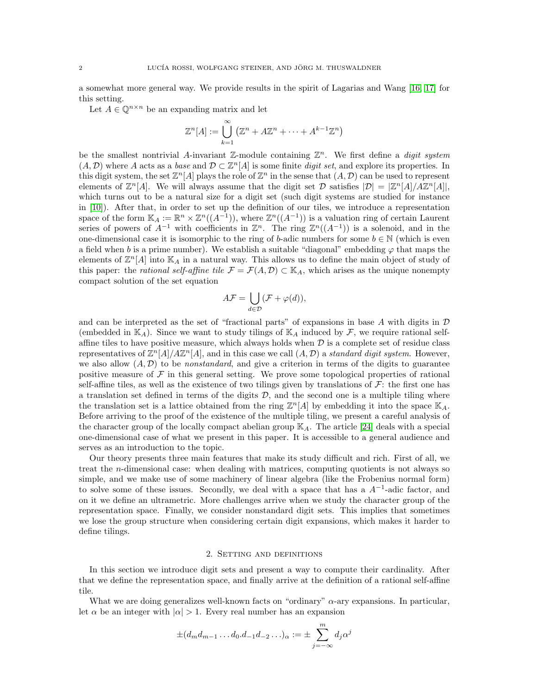a somewhat more general way. We provide results in the spirit of Lagarias and Wang [\[16,](#page-22-2) [17\]](#page-22-3) for this setting.

Let  $A \in \mathbb{O}^{n \times n}$  be an expanding matrix and let

$$
\mathbb{Z}^n[A] := \bigcup_{k=1}^{\infty} \left( \mathbb{Z}^n + A \mathbb{Z}^n + \dots + A^{k-1} \mathbb{Z}^n \right)
$$

be the smallest nontrivial A-invariant  $\mathbb{Z}$ -module containing  $\mathbb{Z}^n$ . We first define a *digit system*  $(A, \mathcal{D})$  where A acts as a base and  $\mathcal{D} \subset \mathbb{Z}^n[A]$  is some finite digit set, and explore its properties. In this digit system, the set  $\mathbb{Z}^n[A]$  plays the role of  $\mathbb{Z}^n$  in the sense that  $(A, \mathcal{D})$  can be used to represent elements of  $\mathbb{Z}^n[A]$ . We will always assume that the digit set  $\mathcal{D}$  satisfies  $|\mathcal{D}| = |\mathbb{Z}^n[A]/A\mathbb{Z}^n[A]|$ , which turns out to be a natural size for a digit set (such digit systems are studied for instance in [\[10\]](#page-22-9)). After that, in order to set up the definition of our tiles, we introduce a representation space of the form  $\mathbb{K}_A := \mathbb{R}^n \times \mathbb{Z}^n((A^{-1}))$ , where  $\mathbb{Z}^n((A^{-1}))$  is a valuation ring of certain Laurent series of powers of  $A^{-1}$  with coefficients in  $\mathbb{Z}^n$ . The ring  $\mathbb{Z}^n((A^{-1}))$  is a solenoid, and in the one-dimensional case it is isomorphic to the ring of b-adic numbers for some  $b \in \mathbb{N}$  (which is even a field when b is a prime number). We establish a suitable "diagonal" embedding  $\varphi$  that maps the elements of  $\mathbb{Z}^n[A]$  into  $\mathbb{K}_A$  in a natural way. This allows us to define the main object of study of this paper: the *rational self-affine tile*  $\mathcal{F} = \mathcal{F}(A, \mathcal{D}) \subset \mathbb{K}_A$ , which arises as the unique nonempty compact solution of the set equation

$$
A\mathcal{F} = \bigcup_{d \in \mathcal{D}} (\mathcal{F} + \varphi(d)),
$$

and can be interpreted as the set of "fractional parts" of expansions in base A with digits in  $\mathcal D$ (embedded in  $\mathbb{K}_A$ ). Since we want to study tilings of  $\mathbb{K}_A$  induced by  $\mathcal{F}$ , we require rational selfaffine tiles to have positive measure, which always holds when  $D$  is a complete set of residue class representatives of  $\mathbb{Z}^n[A]/A\mathbb{Z}^n[A]$ , and in this case we call  $(A, \mathcal{D})$  a standard digit system. However, we also allow  $(A, \mathcal{D})$  to be *nonstandard*, and give a criterion in terms of the digits to guarantee positive measure of  $\mathcal F$  in this general setting. We prove some topological properties of rational self-affine tiles, as well as the existence of two tilings given by translations of  $\mathcal{F}$ : the first one has a translation set defined in terms of the digits  $D$ , and the second one is a multiple tiling where the translation set is a lattice obtained from the ring  $\mathbb{Z}^n[A]$  by embedding it into the space  $\mathbb{K}_A$ . Before arriving to the proof of the existence of the multiple tiling, we present a careful analysis of the character group of the locally compact abelian group  $\mathbb{K}_A$ . The article [\[24\]](#page-22-10) deals with a special one-dimensional case of what we present in this paper. It is accessible to a general audience and serves as an introduction to the topic.

Our theory presents three main features that make its study difficult and rich. First of all, we treat the n-dimensional case: when dealing with matrices, computing quotients is not always so simple, and we make use of some machinery of linear algebra (like the Frobenius normal form) to solve some of these issues. Secondly, we deal with a space that has a  $A^{-1}$ -adic factor, and on it we define an ultrametric. More challenges arrive when we study the character group of the representation space. Finally, we consider nonstandard digit sets. This implies that sometimes we lose the group structure when considering certain digit expansions, which makes it harder to define tilings.

## 2. Setting and definitions

In this section we introduce digit sets and present a way to compute their cardinality. After that we define the representation space, and finally arrive at the definition of a rational self-affine tile.

What we are doing generalizes well-known facts on "ordinary" α-ary expansions. In particular, let  $\alpha$  be an integer with  $|\alpha| > 1$ . Every real number has an expansion

$$
\pm (d_m d_{m-1} \dots d_0.d_{-1}d_{-2}\dots)_\alpha := \pm \sum_{j=-\infty}^m d_j \alpha^j
$$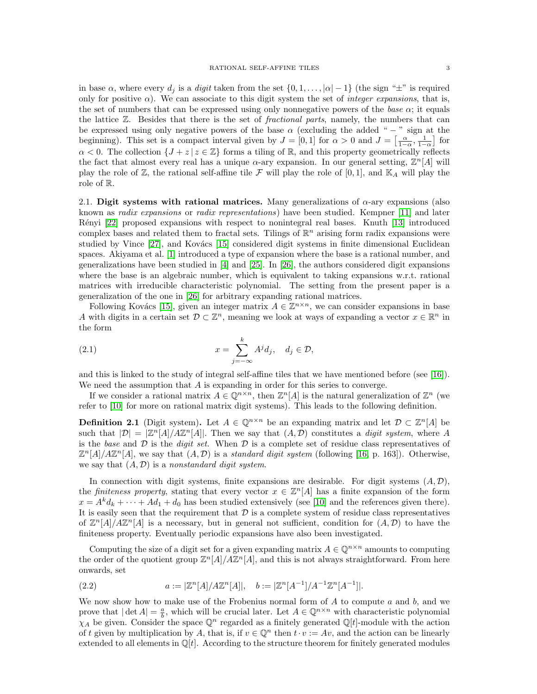in base  $\alpha$ , where every  $d_i$  is a *digit* taken from the set  $\{0, 1, \ldots, |\alpha| - 1\}$  (the sign " $\pm$ " is required only for positive  $\alpha$ ). We can associate to this digit system the set of *integer expansions*, that is, the set of numbers that can be expressed using only nonnegative powers of the base  $\alpha$ ; it equals the lattice  $\mathbb{Z}$ . Besides that there is the set of *fractional parts*, namely, the numbers that can be expressed using only negative powers of the base  $\alpha$  (excluding the added " − " sign at the beginning). This set is a compact interval given by  $J = [0, 1]$  for  $\alpha > 0$  and  $J = \left[\frac{\alpha}{1-\alpha}, \frac{1}{1-\alpha}\right]$  for  $\alpha < 0$ . The collection  $\{J + z | z \in \mathbb{Z}\}\)$  forms a tiling of  $\mathbb{R}$ , and this property geometrically reflects the fact that almost every real has a unique  $\alpha$ -ary expansion. In our general setting,  $\mathbb{Z}^n[A]$  will play the role of  $\mathbb{Z}$ , the rational self-affine tile F will play the role of [0, 1], and  $\mathbb{K}_A$  will play the role of R.

2.1. Digit systems with rational matrices. Many generalizations of  $\alpha$ -ary expansions (also known as radix expansions or radix representations) have been studied. Kempner [\[11\]](#page-22-11) and later R´enyi [\[22\]](#page-22-12) proposed expansions with respect to nonintegral real bases. Knuth [\[13\]](#page-22-13) introduced complex bases and related them to fractal sets. Tilings of  $\mathbb{R}^n$  arising form radix expansions were studied by Vince [\[27\]](#page-22-14), and Kovács [\[15\]](#page-22-15) considered digit systems in finite dimensional Euclidean spaces. Akiyama et al. [\[1\]](#page-21-2) introduced a type of expansion where the base is a rational number, and generalizations have been studied in [\[4\]](#page-21-3) and [\[25\]](#page-22-16). In [\[26\]](#page-22-8), the authors considered digit expansions where the base is an algebraic number, which is equivalent to taking expansions w.r.t. rational matrices with irreducible characteristic polynomial. The setting from the present paper is a generalization of the one in [\[26\]](#page-22-8) for arbitrary expanding rational matrices.

Following Kovács [\[15\]](#page-22-15), given an integer matrix  $A \in \mathbb{Z}^{n \times n}$ , we can consider expansions in base A with digits in a certain set  $\mathcal{D} \subset \mathbb{Z}^n$ , meaning we look at ways of expanding a vector  $x \in \mathbb{R}^n$  in the form

(2.1) 
$$
x = \sum_{j=-\infty}^{k} A^j d_j, \quad d_j \in \mathcal{D},
$$

and this is linked to the study of integral self-affine tiles that we have mentioned before (see [\[16\]](#page-22-2)). We need the assumption that  $A$  is expanding in order for this series to converge.

If we consider a rational matrix  $A \in \mathbb{Q}^{n \times n}$ , then  $\mathbb{Z}^n[A]$  is the natural generalization of  $\mathbb{Z}^n$  (we refer to [\[10\]](#page-22-9) for more on rational matrix digit systems). This leads to the following definition.

**Definition 2.1** (Digit system). Let  $A \in \mathbb{Q}^{n \times n}$  be an expanding matrix and let  $\mathcal{D} \subset \mathbb{Z}^n[A]$  be such that  $|\mathcal{D}| = |\mathbb{Z}^n[A]/A\mathbb{Z}^n[A]|$ . Then we say that  $(A, \mathcal{D})$  constitutes a *digit system*, where A is the base and  $\mathcal D$  is the *digit set*. When  $\mathcal D$  is a complete set of residue class representatives of  $\mathbb{Z}^n[A]/A\mathbb{Z}^n[A]$ , we say that  $(A, \mathcal{D})$  is a *standard digit system* (following [\[16,](#page-22-2) p. 163]). Otherwise, we say that  $(A, \mathcal{D})$  is a nonstandard digit system.

In connection with digit systems, finite expansions are desirable. For digit systems  $(A, \mathcal{D})$ , the finiteness property, stating that every vector  $x \in \mathbb{Z}^n[A]$  has a finite expansion of the form  $x = A^k d_k + \cdots + A d_1 + d_0$  has been studied extensively (see [\[10\]](#page-22-9) and the references given there). It is easily seen that the requirement that  $\mathcal D$  is a complete system of residue class representatives of  $\mathbb{Z}^n[A]/A\mathbb{Z}^n[A]$  is a necessary, but in general not sufficient, condition for  $(A, \mathcal{D})$  to have the finiteness property. Eventually periodic expansions have also been investigated.

Computing the size of a digit set for a given expanding matrix  $A \in \mathbb{Q}^{n \times n}$  amounts to computing the order of the quotient group  $\mathbb{Z}^n[A]/A\mathbb{Z}^n[A]$ , and this is not always straightforward. From here onwards, set

<span id="page-2-0"></span>(2.2) 
$$
a := |\mathbb{Z}^n[A]/A\mathbb{Z}^n[A]|, \quad b := |\mathbb{Z}^n[A^{-1}]/A^{-1}\mathbb{Z}^n[A^{-1}]|.
$$

We now show how to make use of the Frobenius normal form of  $A$  to compute  $a$  and  $b$ , and we prove that  $|\det A| = \frac{a}{b}$ , which will be crucial later. Let  $A \in \mathbb{Q}^{n \times n}$  with characteristic polynomial  $\chi_A$  be given. Consider the space  $\mathbb{Q}^n$  regarded as a finitely generated  $\mathbb{Q}[t]$ -module with the action of t given by multiplication by A, that is, if  $v \in \mathbb{Q}^n$  then  $t \cdot v := Av$ , and the action can be linearly extended to all elements in  $\mathbb{Q}[t]$ . According to the structure theorem for finitely generated modules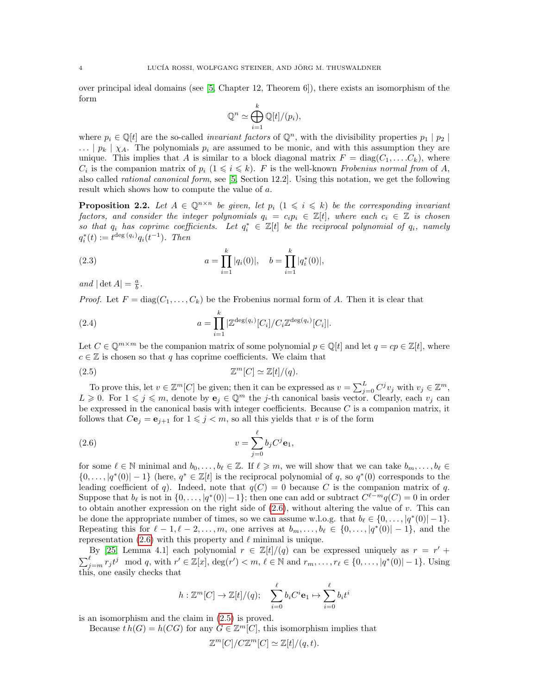over principal ideal domains (see [\[5,](#page-21-4) Chapter 12, Theorem 6]), there exists an isomorphism of the form

$$
\mathbb{Q}^n \simeq \bigoplus_{i=1}^k \mathbb{Q}[t]/(p_i),
$$

where  $p_i \in \mathbb{Q}[t]$  are the so-called *invariant factors* of  $\mathbb{Q}^n$ , with the divisibility properties  $p_1 | p_2 |$  $\ldots$  |  $p_k$  |  $\chi_A$ . The polynomials  $p_i$  are assumed to be monic, and with this assumption they are unique. This implies that A is similar to a block diagonal matrix  $F = diag(C_1, \ldots, C_k)$ , where  $C_i$  is the companion matrix of  $p_i$   $(1 \leq i \leq k)$ . F is the well-known Frobenius normal from of A, also called rational canonical form, see [\[5,](#page-21-4) Section 12.2]. Using this notation, we get the following result which shows how to compute the value of a.

<span id="page-3-4"></span>**Proposition 2.2.** Let  $A \in \mathbb{Q}^{n \times n}$  be given, let  $p_i$   $(1 \leq i \leq k)$  be the corresponding invariant factors, and consider the integer polynomials  $q_i = c_i p_i \in \mathbb{Z}[t]$ , where each  $c_i \in \mathbb{Z}$  is chosen so that  $q_i$  has coprime coefficients. Let  $q_i^* \in \mathbb{Z}[t]$  be the reciprocal polynomial of  $q_i$ , namely  $q_i^*(t) := t^{\deg(q_i)} q_i(t^{-1})$ . Then

<span id="page-3-3"></span>(2.3) 
$$
a = \prod_{i=1}^{k} |q_i(0)|, \quad b = \prod_{i=1}^{k} |q_i^*(0)|,
$$

and  $|\det A| = \frac{a}{b}$ .

*Proof.* Let  $F = diag(C_1, \ldots, C_k)$  be the Frobenius normal form of A. Then it is clear that

<span id="page-3-2"></span>(2.4) 
$$
a = \prod_{i=1}^{k} |\mathbb{Z}^{\deg(q_i)}[C_i]/C_i \mathbb{Z}^{\deg(q_i)}[C_i]|.
$$

Let  $C \in \mathbb{Q}^{m \times m}$  be the companion matrix of some polynomial  $p \in \mathbb{Q}[t]$  and let  $q = cp \in \mathbb{Z}[t]$ , where  $c \in \mathbb{Z}$  is chosen so that q has coprime coefficients. We claim that

<span id="page-3-1"></span>
$$
\mathbb{Z}^m[C] \simeq \mathbb{Z}[t]/(q).
$$

To prove this, let  $v \in \mathbb{Z}^m[C]$  be given; then it can be expressed as  $v = \sum_{j=0}^L C^j v_j$  with  $v_j \in \mathbb{Z}^m$ ,  $L \geq 0$ . For  $1 \leq j \leq m$ , denote by  $e_j \in \mathbb{Q}^m$  the j-th canonical basis vector. Clearly, each  $v_j$  can be expressed in the canonical basis with integer coefficients. Because  $C$  is a companion matrix, it follows that  $C\mathbf{e}_j = \mathbf{e}_{j+1}$  for  $1 \leq j < m$ , so all this yields that v is of the form

<span id="page-3-0"></span>(2.6) 
$$
v = \sum_{j=0}^{\ell} b_j C^j \mathbf{e}_1,
$$

for some  $\ell \in \mathbb{N}$  minimal and  $b_0, \ldots, b_\ell \in \mathbb{Z}$ . If  $\ell \geq m$ , we will show that we can take  $b_m, \ldots, b_\ell \in$  $\{0,\ldots,|q^*(0)|-1\}$  (here,  $q^* \in \mathbb{Z}[t]$  is the reciprocal polynomial of q, so  $q^*(0)$  corresponds to the leading coefficient of q). Indeed, note that  $q(C) = 0$  because C is the companion matrix of q. Suppose that  $b_\ell$  is not in  $\{0, \ldots, |q^*(0)| - 1\}$ ; then one can add or subtract  $C^{\ell-m}q(C) = 0$  in order to obtain another expression on the right side of  $(2.6)$ , without altering the value of v. This can be done the appropriate number of times, so we can assume w.l.o.g. that  $b_{\ell} \in \{0, \ldots, |q^*(0)| - 1\}.$ Repeating this for  $\ell - 1, \ell - 2, \ldots, m$ , one arrives at  $b_m, \ldots, b_\ell \in \{0, \ldots, |q^*(0)| - 1\}$ , and the representation [\(2.6\)](#page-3-0) with this property and  $\ell$  minimal is unique.

By [\[25,](#page-22-16) Lemma 4.1] each polynomial  $r \in \mathbb{Z}[t]/(q)$  can be expressed uniquely as  $r = r' +$  $\sum_{j=m}^{\ell} r_j t^j \mod q$ , with  $r' \in \mathbb{Z}[x]$ ,  $\deg(r') < m, \ell \in \mathbb{N}$  and  $r_m, \ldots, r_{\ell} \in \{0, \ldots, |q^*(0)| - 1\}$ . Using this, one easily checks that

$$
h: \mathbb{Z}^m[C] \to \mathbb{Z}[t]/(q); \quad \sum_{i=0}^{\ell} b_i C^i \mathbf{e}_1 \mapsto \sum_{i=0}^{\ell} b_i t^i
$$

is an isomorphism and the claim in [\(2.5\)](#page-3-1) is proved.

Because  $th(G) = h(CG)$  for any  $G \in \mathbb{Z}^m[C]$ , this isomorphism implies that

$$
\mathbb{Z}^m[C]/C\mathbb{Z}^m[C] \simeq \mathbb{Z}[t]/(q,t).
$$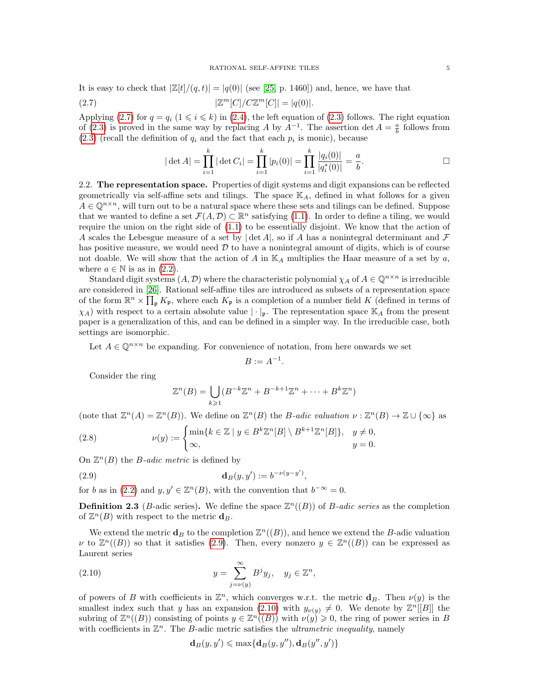It is easy to check that  $|Z[t]/(q,t)| = |q(0)|$  (see [\[25,](#page-22-16) p. 1460]) and, hence, we have that

(2.7) 
$$
|\mathbb{Z}^m[C]/C\mathbb{Z}^m[C]| = |q(0)|.
$$

Applying [\(2.7\)](#page-4-0) for  $q = q_i$  (1  $\leq i \leq k$ ) in [\(2.4\)](#page-3-2), the left equation of [\(2.3\)](#page-3-3) follows. The right equation of [\(2.3\)](#page-3-3) is proved in the same way by replacing A by  $A^{-1}$ . The assertion det  $A = \frac{a}{b}$  follows from  $(2.3)$  (recall the definition of  $q_i$  and the fact that each  $p_i$  is monic), because

<span id="page-4-0"></span>
$$
|\det A|
$$
 =  $\prod_{i=1}^k |\det C_i|$  =  $\prod_{i=1}^k |p_i(0)|$  =  $\prod_{i=1}^k \frac{|q_i(0)|}{|q_i^*(0)|} = \frac{a}{b}$ .

2.2. The representation space. Properties of digit systems and digit expansions can be reflected geometrically via self-affine sets and tilings. The space  $\mathbb{K}_A$ , defined in what follows for a given  $A \in \mathbb{Q}^{n \times n}$ , will turn out to be a natural space where these sets and tilings can be defined. Suppose that we wanted to define a set  $\mathcal{F}(A, \mathcal{D}) \subset \mathbb{R}^n$  satisfying [\(1.1\)](#page-0-0). In order to define a tiling, we would require the union on the right side of [\(1.1\)](#page-0-0) to be essentially disjoint. We know that the action of A scales the Lebesgue measure of a set by  $|\det A|$ , so if A has a nonintegral determinant and F has positive measure, we would need  $\mathcal D$  to have a nonintegral amount of digits, which is of course not doable. We will show that the action of A in  $\mathbb{K}_A$  multiplies the Haar measure of a set by a, where  $a \in \mathbb{N}$  is as in [\(2.2\)](#page-2-0).

Standard digit systems  $(A, \mathcal{D})$  where the characteristic polynomial  $\chi_A$  of  $A \in \mathbb{Q}^{n \times n}$  is irreducible are considered in [\[26\]](#page-22-8). Rational self-affine tiles are introduced as subsets of a representation space of the form  $\mathbb{R}^n \times \prod_{\mathfrak{p}} K_{\mathfrak{p}}$ , where each  $K_{\mathfrak{p}}$  is a completion of a number field K (defined in terms of  $\chi_A$ ) with respect to a certain absolute value  $|\cdot|_p$ . The representation space  $\mathbb{K}_A$  from the present paper is a generalization of this, and can be defined in a simpler way. In the irreducible case, both settings are isomorphic.

Let  $A \in \mathbb{Q}^{n \times n}$  be expanding. For convenience of notation, from here onwards we set

$$
B := A^{-1}.
$$

Consider the ring

<span id="page-4-1"></span>
$$
\mathbb{Z}^n(B) = \bigcup_{k \geq 1} (B^{-k}\mathbb{Z}^n + B^{-k+1}\mathbb{Z}^n + \dots + B^k\mathbb{Z}^n)
$$

(note that  $\mathbb{Z}^n(A) = \mathbb{Z}^n(B)$ ). We define on  $\mathbb{Z}^n(B)$  the *B*-adic valuation  $\nu : \mathbb{Z}^n(B) \to \mathbb{Z} \cup {\infty}$  as

(2.8) 
$$
\nu(y) := \begin{cases} \min\{k \in \mathbb{Z} \mid y \in B^k \mathbb{Z}^n[B] \setminus B^{k+1} \mathbb{Z}^n[B] \}, & y \neq 0, \\ \infty, & y = 0. \end{cases}
$$

On  $\mathbb{Z}^n(B)$  the *B*-adic metric is defined by

(2.9) 
$$
\mathbf{d}_B(y, y') := b^{-\nu(y-y')},
$$

for b as in [\(2.2\)](#page-2-0) and  $y, y' \in \mathbb{Z}^n(B)$ , with the convention that  $b^{-\infty} = 0$ .

**Definition 2.3** (*B*-adic series). We define the space  $\mathbb{Z}^n((B))$  of *B-adic series* as the completion of  $\mathbb{Z}^n(B)$  with respect to the metric  $\mathbf{d}_B$ .

We extend the metric  $\mathbf{d}_B$  to the completion  $\mathbb{Z}^n((B))$ , and hence we extend the B-adic valuation v to  $\mathbb{Z}^n((B))$  so that it satisfies [\(2.9\)](#page-4-1). Then, every nonzero  $y \in \mathbb{Z}^n((B))$  can be expressed as Laurent series

(2.10) 
$$
y = \sum_{j=\nu(y)}^{\infty} B^j y_j, \quad y_j \in \mathbb{Z}^n,
$$

of powers of B with coefficients in  $\mathbb{Z}^n$ , which converges w.r.t. the metric  $\mathbf{d}_B$ . Then  $\nu(y)$  is the smallest index such that y has an expansion [\(2.10\)](#page-4-2) with  $y_{\nu(y)} \neq 0$ . We denote by  $\mathbb{Z}^n[[B]]$  the subring of  $\mathbb{Z}^n((B))$  consisting of points  $y \in \mathbb{Z}^n((B))$  with  $\nu(y) \geq 0$ , the ring of power series in B with coefficients in  $\mathbb{Z}^n$ . The B-adic metric satisfies the *ultrametric inequality*, namely

<span id="page-4-2"></span>
$$
\mathbf{d}_B(y, y') \leqslant \max\{\mathbf{d}_B(y, y''), \mathbf{d}_B(y'', y')\}
$$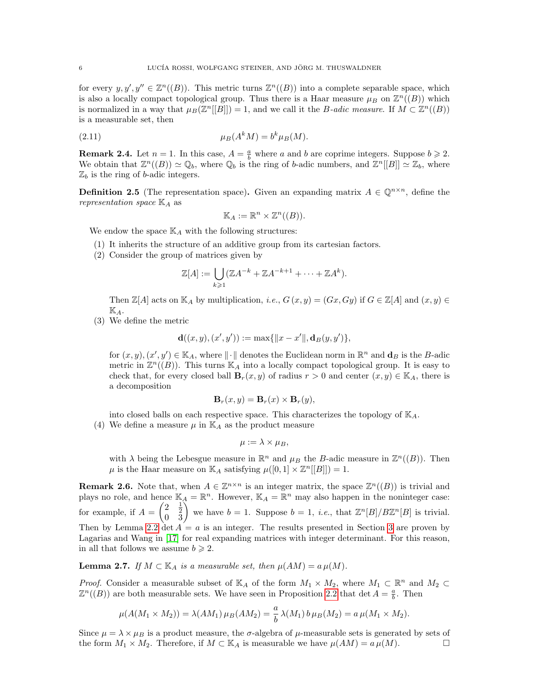for every  $y, y', y'' \in \mathbb{Z}^n((B))$ . This metric turns  $\mathbb{Z}^n((B))$  into a complete separable space, which is also a locally compact topological group. Thus there is a Haar measure  $\mu_B$  on  $\mathbb{Z}^n((B))$  which is normalized in a way that  $\mu_B(\mathbb{Z}^n[[B]]) = 1$ , and we call it the *B*-adic measure. If  $M \subset \mathbb{Z}^n((B))$ is a measurable set, then

$$
\mu_B(A^k M) = b^k \mu_B(M).
$$

**Remark 2.4.** Let  $n = 1$ . In this case,  $A = \frac{a}{b}$  where a and b are coprime integers. Suppose  $b \ge 2$ . We obtain that  $\mathbb{Z}^n((B)) \simeq \mathbb{Q}_b$ , where  $\mathbb{Q}_b$  is the ring of b-adic numbers, and  $\mathbb{Z}^n[[B]] \simeq \mathbb{Z}_b$ , where  $\mathbb{Z}_b$  is the ring of b-adic integers.

**Definition 2.5** (The representation space). Given an expanding matrix  $A \in \mathbb{Q}^{n \times n}$ , define the representation space  $\mathbb{K}_A$  as

<span id="page-5-0"></span>
$$
\mathbb{K}_A := \mathbb{R}^n \times \mathbb{Z}^n((B)).
$$

We endow the space  $\mathbb{K}_A$  with the following structures:

- (1) It inherits the structure of an additive group from its cartesian factors.
- (2) Consider the group of matrices given by

$$
\mathbb{Z}[A] := \bigcup_{k \geq 1} (\mathbb{Z}A^{-k} + \mathbb{Z}A^{-k+1} + \dots + \mathbb{Z}A^{k}).
$$

Then  $\mathbb{Z}[A]$  acts on  $\mathbb{K}_A$  by multiplication, *i.e.*,  $G(x, y) = (Gx, Gy)$  if  $G \in \mathbb{Z}[A]$  and  $(x, y) \in$  $\mathbb{K}_A$ .

(3) We define the metric

$$
\mathbf{d}((x,y),(x',y')):=\max\{\|x-x'\|,\mathbf{d}_B(y,y')\},\
$$

for  $(x, y), (x', y') \in \mathbb{K}_A$ , where  $\|\cdot\|$  denotes the Euclidean norm in  $\mathbb{R}^n$  and  $\mathbf{d}_B$  is the B-adic metric in  $\mathbb{Z}^n((B))$ . This turns  $\mathbb{K}_A$  into a locally compact topological group. It is easy to check that, for every closed ball  $\mathbf{B}_r(x, y)$  of radius  $r > 0$  and center  $(x, y) \in \mathbb{K}_A$ , there is a decomposition

$$
\mathbf{B}_r(x,y) = \mathbf{B}_r(x) \times \mathbf{B}_r(y),
$$

into closed balls on each respective space. This characterizes the topology of  $\mathbb{K}_{A}$ .

(4) We define a measure  $\mu$  in  $\mathbb{K}_A$  as the product measure

$$
\mu := \lambda \times \mu_B,
$$

with  $\lambda$  being the Lebesgue measure in  $\mathbb{R}^n$  and  $\mu_B$  the B-adic measure in  $\mathbb{Z}^n((B))$ . Then  $\mu$  is the Haar measure on  $\mathbb{K}_A$  satisfying  $\mu([0,1] \times \mathbb{Z}^n[[B]]) = 1$ .

<span id="page-5-1"></span>**Remark 2.6.** Note that, when  $A \in \mathbb{Z}^{n \times n}$  is an integer matrix, the space  $\mathbb{Z}^n((B))$  is trivial and plays no role, and hence  $\mathbb{K}_A = \mathbb{R}^n$ . However,  $\mathbb{K}_A = \mathbb{R}^n$  may also happen in the noninteger case: for example, if  $A = \begin{pmatrix} 2 & \frac{1}{2} \\ 0 & 3 \end{pmatrix}$  we have  $b = 1$ . Suppose  $b = 1$ , *i.e.*, that  $\mathbb{Z}^n[B]/B\mathbb{Z}^n[B]$  is trivial. Then by Lemma [2.2](#page-3-4) det  $A = a$  is an integer. The results presented in Section [3](#page-7-0) are proven by Lagarias and Wang in [\[17\]](#page-22-3) for real expanding matrices with integer determinant. For this reason, in all that follows we assume  $b \geq 2$ .

**Lemma 2.7.** If  $M \subset \mathbb{K}_A$  is a measurable set, then  $\mu(AM) = a \mu(M)$ .

*Proof.* Consider a measurable subset of  $\mathbb{K}_A$  of the form  $M_1 \times M_2$ , where  $M_1 \subset \mathbb{R}^n$  and  $M_2 \subset$  $\mathbb{Z}^n((B))$  are both measurable sets. We have seen in Proposition [2.2](#page-3-4) that det  $A = \frac{a}{b}$ . Then

$$
\mu(A(M_1 \times M_2)) = \lambda(AM_1) \mu_B(AM_2) = \frac{a}{b} \lambda(M_1) b \mu_B(M_2) = a \mu(M_1 \times M_2).
$$

Since  $\mu = \lambda \times \mu_B$  is a product measure, the  $\sigma$ -algebra of  $\mu$ -measurable sets is generated by sets of the form  $M_1 \times M_2$ . Therefore, if  $M \subset \mathbb{K}_A$  is measurable we have  $\mu(AM) = a \mu(M)$ .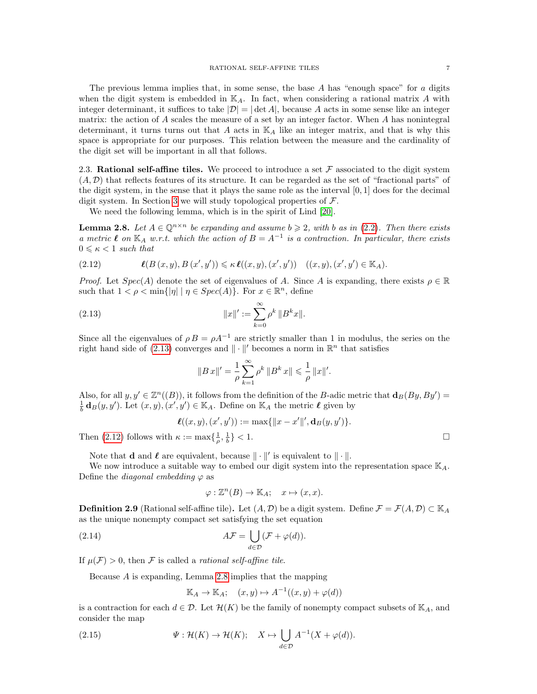The previous lemma implies that, in some sense, the base  $A$  has "enough space" for  $a$  digits when the digit system is embedded in  $\mathbb{K}_A$ . In fact, when considering a rational matrix A with integer determinant, it suffices to take  $|\mathcal{D}| = |\det A|$ , because A acts in some sense like an integer matrix: the action of  $A$  scales the measure of a set by an integer factor. When  $A$  has nonintegral determinant, it turns turns out that A acts in  $\mathbb{K}_A$  like an integer matrix, and that is why this space is appropriate for our purposes. This relation between the measure and the cardinality of the digit set will be important in all that follows.

2.3. Rational self-affine tiles. We proceed to introduce a set  $\mathcal F$  associated to the digit system  $(A, \mathcal{D})$  that reflects features of its structure. It can be regarded as the set of "fractional parts" of the digit system, in the sense that it plays the same role as the interval  $[0, 1]$  does for the decimal digit system. In Section [3](#page-7-0) we will study topological properties of  $\mathcal{F}$ .

We need the following lemma, which is in the spirit of Lind [\[20\]](#page-22-17).

<span id="page-6-2"></span>**Lemma 2.8.** Let  $A \in \mathbb{Q}^{n \times n}$  be expanding and assume  $b \geq 2$ , with b as in [\(2.2\)](#page-2-0). Then there exists a metric  $\ell$  on  $\mathbb{K}_A$  w.r.t. which the action of  $B = A^{-1}$  is a contraction. In particular, there exists  $0 \leq \kappa < 1$  such that

<span id="page-6-1"></span>
$$
(2.12) \qquad \qquad \boldsymbol{\ell}(B(x,y),B(x',y')) \leqslant \kappa \,\boldsymbol{\ell}((x,y),(x',y')) \quad ((x,y),(x',y') \in \mathbb{K}_A).
$$

*Proof.* Let  $Spec(A)$  denote the set of eigenvalues of A. Since A is expanding, there exists  $\rho \in \mathbb{R}$ such that  $1 < \rho < \min\{|\eta| \mid \eta \in Spec(A)\}$ . For  $x \in \mathbb{R}^n$ , define

(2.13) 
$$
||x||' := \sum_{k=0}^{\infty} \rho^k ||B^k x||.
$$

Since all the eigenvalues of  $\rho B = \rho A^{-1}$  are strictly smaller than 1 in modulus, the series on the right hand side of [\(2.13\)](#page-6-0) converges and  $\|\cdot\|'$  becomes a norm in  $\mathbb{R}^n$  that satisfies

<span id="page-6-0"></span>
$$
\|B\,x\|'=\frac{1}{\rho}\sum_{k=1}^\infty\rho^k\,\|B^k\,x\|\leqslant\frac{1}{\rho}\,\|x\|'.
$$

Also, for all  $y, y' \in \mathbb{Z}^n((B))$ , it follows from the definition of the B-adic metric that  $\mathbf{d}_B(By, By') =$  $\frac{1}{b}$  **d**<sub>B</sub>(y, y'). Let  $(x, y), (x', y') \in \mathbb{K}_A$ . Define on  $\mathbb{K}_A$  the metric  $\ell$  given by

$$
\ell((x,y),(x',y')):=\max\{\|x-x'\|',\mathbf{d}_B(y,y')\}.
$$

Then [\(2.12\)](#page-6-1) follows with  $\kappa := \max\{\frac{1}{\rho},\frac{1}{b}\} < 1.$ 

Note that **d** and  $\ell$  are equivalent, because  $\|\cdot\|'$  is equivalent to  $\|\cdot\|$ .

We now introduce a suitable way to embed our digit system into the representation space  $\mathbb{K}_{A}$ . Define the *diagonal* embedding  $\varphi$  as

<span id="page-6-3"></span>
$$
\varphi: \mathbb{Z}^n(B) \to \mathbb{K}_A; \quad x \mapsto (x, x).
$$

**Definition 2.9** (Rational self-affine tile). Let  $(A, \mathcal{D})$  be a digit system. Define  $\mathcal{F} = \mathcal{F}(A, \mathcal{D}) \subset \mathbb{K}_A$ as the unique nonempty compact set satisfying the set equation

(2.14) 
$$
A\mathcal{F} = \bigcup_{d \in \mathcal{D}} (\mathcal{F} + \varphi(d)).
$$

If  $\mu(\mathcal{F}) > 0$ , then  $\mathcal F$  is called a *rational self-affine tile*.

Because A is expanding, Lemma [2.8](#page-6-2) implies that the mapping

<span id="page-6-4"></span>
$$
\mathbb{K}_A \to \mathbb{K}_A; \quad (x, y) \mapsto A^{-1}((x, y) + \varphi(d))
$$

is a contraction for each  $d \in \mathcal{D}$ . Let  $\mathcal{H}(K)$  be the family of nonempty compact subsets of  $\mathbb{K}_A$ , and consider the map

(2.15) 
$$
\Psi: \mathcal{H}(K) \to \mathcal{H}(K); \quad X \mapsto \bigcup_{d \in \mathcal{D}} A^{-1}(X + \varphi(d)).
$$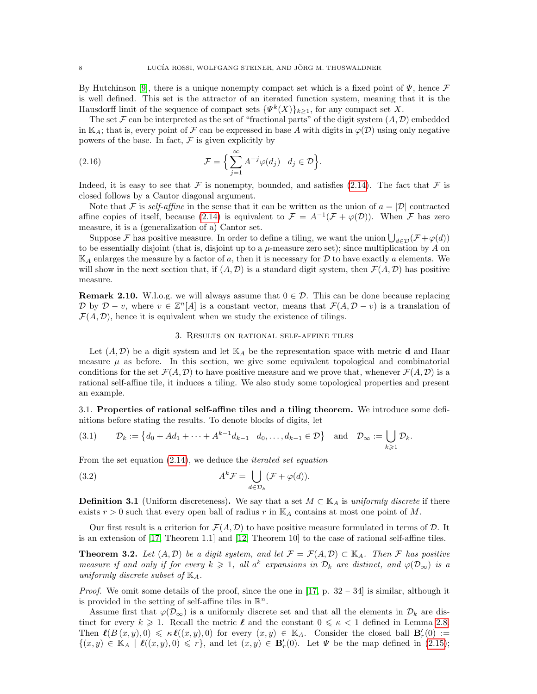By Hutchinson [\[9\]](#page-22-5), there is a unique nonempty compact set which is a fixed point of  $\Psi$ , hence  $\mathcal F$ is well defined. This set is the attractor of an iterated function system, meaning that it is the Hausdorff limit of the sequence of compact sets  $\{\Psi^k(X)\}_{k\geq 1}$ , for any compact set X.

The set F can be interpreted as the set of "fractional parts" of the digit system  $(A, \mathcal{D})$  embedded in K<sub>A</sub>; that is, every point of F can be expressed in base A with digits in  $\varphi(\mathcal{D})$  using only negative powers of the base. In fact,  $\mathcal F$  is given explicitly by

(2.16) 
$$
\mathcal{F} = \left\{ \sum_{j=1}^{\infty} A^{-j} \varphi(d_j) \mid d_j \in \mathcal{D} \right\}.
$$

Indeed, it is easy to see that F is nonempty, bounded, and satisfies [\(2.14\)](#page-6-3). The fact that F is closed follows by a Cantor diagonal argument.

Note that F is self-affine in the sense that it can be written as the union of  $a = |\mathcal{D}|$  contracted affine copies of itself, because [\(2.14\)](#page-6-3) is equivalent to  $\mathcal{F} = A^{-1}(\mathcal{F} + \varphi(\mathcal{D}))$ . When  $\mathcal F$  has zero measure, it is a (generalization of a) Cantor set.

Suppose F has positive measure. In order to define a tiling, we want the union  $\bigcup_{d\in\mathcal{D}}(\mathcal{F}+\varphi(d))$ to be essentially disjoint (that is, disjoint up to a  $\mu$ -measure zero set); since multiplication by A on  $\mathbb{K}_A$  enlarges the measure by a factor of a, then it is necessary for D to have exactly a elements. We will show in the next section that, if  $(A, \mathcal{D})$  is a standard digit system, then  $\mathcal{F}(A, \mathcal{D})$  has positive measure.

**Remark 2.10.** W.l.o.g. we will always assume that  $0 \in \mathcal{D}$ . This can be done because replacing D by  $\mathcal{D} - v$ , where  $v \in \mathbb{Z}^n[A]$  is a constant vector, means that  $\mathcal{F}(A, \mathcal{D} - v)$  is a translation of  $\mathcal{F}(A, \mathcal{D})$ , hence it is equivalent when we study the existence of tilings.

## 3. Results on rational self-affine tiles

<span id="page-7-0"></span>Let  $(A, \mathcal{D})$  be a digit system and let  $\mathbb{K}_A$  be the representation space with metric **d** and Haar measure  $\mu$  as before. In this section, we give some equivalent topological and combinatorial conditions for the set  $\mathcal{F}(A, \mathcal{D})$  to have positive measure and we prove that, whenever  $\mathcal{F}(A, \mathcal{D})$  is a rational self-affine tile, it induces a tiling. We also study some topological properties and present an example.

3.1. Properties of rational self-affine tiles and a tiling theorem. We introduce some definitions before stating the results. To denote blocks of digits, let

<span id="page-7-3"></span>
$$
(3.1) \qquad \mathcal{D}_k := \left\{ d_0 + Ad_1 + \dots + A^{k-1} d_{k-1} \mid d_0, \dots, d_{k-1} \in \mathcal{D} \right\} \quad \text{and} \quad \mathcal{D}_{\infty} := \bigcup_{k \geq 1} \mathcal{D}_k.
$$

From the set equation  $(2.14)$ , we deduce the *iterated set equation* 

<span id="page-7-1"></span>(3.2) 
$$
A^{k} \mathcal{F} = \bigcup_{d \in \mathcal{D}_{k}} (\mathcal{F} + \varphi(d)).
$$

**Definition 3.1** (Uniform discreteness). We say that a set  $M \subset \mathbb{K}_A$  is uniformly discrete if there exists  $r > 0$  such that every open ball of radius r in  $\mathbb{K}_A$  contains at most one point of M.

Our first result is a criterion for  $\mathcal{F}(A, \mathcal{D})$  to have positive measure formulated in terms of  $\mathcal{D}$ . It is an extension of [\[17,](#page-22-3) Theorem 1.1] and [\[12,](#page-22-0) Theorem 10] to the case of rational self-affine tiles.

<span id="page-7-2"></span>**Theorem 3.2.** Let  $(A, \mathcal{D})$  be a digit system, and let  $\mathcal{F} = \mathcal{F}(A, \mathcal{D}) \subset \mathbb{K}_A$ . Then  $\mathcal{F}$  has positive measure if and only if for every  $k \geq 1$ , all  $a^k$  expansions in  $\mathcal{D}_k$  are distinct, and  $\varphi(\mathcal{D}_\infty)$  is a uniformly discrete subset of  $\mathbb{K}_A$ .

*Proof.* We omit some details of the proof, since the one in [\[17,](#page-22-3) p.  $32 - 34$ ] is similar, although it is provided in the setting of self-affine tiles in  $\mathbb{R}^n$ .

Assume first that  $\varphi(\mathcal{D}_{\infty})$  is a uniformly discrete set and that all the elements in  $\mathcal{D}_k$  are distinct for every  $k \geqslant 1$ . Recall the metric  $\ell$  and the constant  $0 \leqslant \kappa < 1$  defined in Lemma [2](#page-6-2).8. Then  $\ell(B(x, y), 0) \le \kappa \ell((x, y), 0)$  for every  $(x, y) \in \mathbb{K}<sub>A</sub>$ . Consider the closed ball  $\mathbf{B}'_r(0) :=$  $\{(x, y) \in \mathbb{K}<sub>A</sub> \mid \ell((x, y), 0) \leq r\}$ , and let  $(x, y) \in \mathbf{B}'<sub>r</sub>(0)$ . Let  $\Psi$  be the map defined in [\(2.15\)](#page-6-4);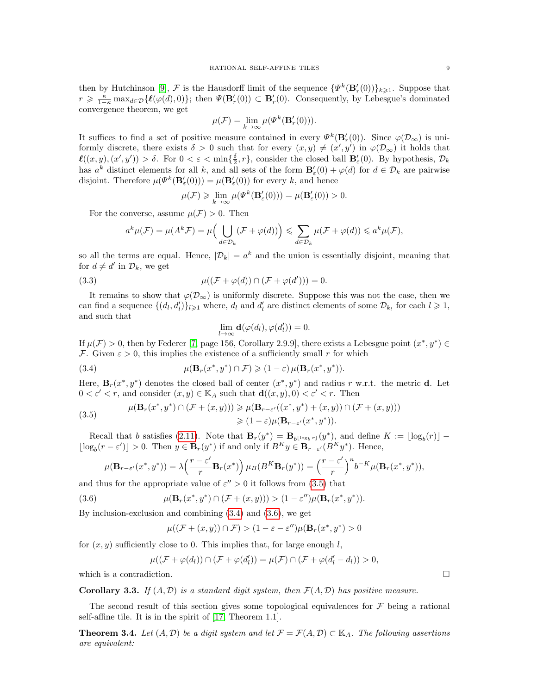then by Hutchinson [\[9\]](#page-22-5),  $\mathcal F$  is the Hausdorff limit of the sequence  $\{\Psi^k(\mathbf B'_r(0))\}_{k\geqslant1}$ . Suppose that  $r \geq \frac{\kappa}{1-\kappa} \max_{d \in \mathcal{D}} \{\ell(\varphi(d), 0)\};$  then  $\Psi(\mathbf{B}'_r(0)) \subset \mathbf{B}'_r(0)$ . Consequently, by Lebesgue's dominated convergence theorem, we get

$$
\mu(\mathcal{F}) = \lim_{k \to \infty} \mu(\Psi^k(\mathbf{B}'_r(0))).
$$

It suffices to find a set of positive measure contained in every  $\Psi^k(\mathbf{B}'_r(0))$ . Since  $\varphi(\mathcal{D}_{\infty})$  is uniformly discrete, there exists  $\delta > 0$  such that for every  $(x, y) \neq (x', y')$  in  $\varphi(\mathcal{D}_{\infty})$  it holds that  $\ell((x,y),(x',y')) > \delta$ . For  $0 < \varepsilon < \min{\frac{\delta}{2}},r\}$ , consider the closed ball  $\mathbf{B}'_{\varepsilon}(0)$ . By hypothesis,  $\mathcal{D}_k$ has  $a^k$  distinct elements for all k, and all sets of the form  $\mathbf{B}'_{\varepsilon}(0) + \varphi(d)$  for  $d \in \mathcal{D}_k$  are pairwise disjoint. Therefore  $\mu(\Psi^k(\mathbf{B}'_{\varepsilon}(0))) = \mu(\mathbf{B}'_{\varepsilon}(0))$  for every k, and hence

$$
\mu(\mathcal{F}) \geq \lim_{k \to \infty} \mu(\Psi^k(\mathbf{B}'_{\varepsilon}(0))) = \mu(\mathbf{B}'_{\varepsilon}(0)) > 0.
$$

For the converse, assume  $\mu(\mathcal{F}) > 0$ . Then

$$
a^k \mu(\mathcal{F}) = \mu(A^k \mathcal{F}) = \mu\Big(\bigcup_{d \in \mathcal{D}_k} (\mathcal{F} + \varphi(d))\Big) \leqslant \sum_{d \in \mathcal{D}_k} \mu(\mathcal{F} + \varphi(d)) \leqslant a^k \mu(\mathcal{F}),
$$

so all the terms are equal. Hence,  $|\mathcal{D}_k| = a^k$  and the union is essentially disjoint, meaning that for  $d \neq d'$  in  $\mathcal{D}_k$ , we get

(3.3) 
$$
\mu((\mathcal{F} + \varphi(d)) \cap (\mathcal{F} + \varphi(d'))) = 0.
$$

It remains to show that  $\varphi(\mathcal{D}_{\infty})$  is uniformly discrete. Suppose this was not the case, then we can find a sequence  $\{(d_l, d_l')\}_{l \geqslant 1}$  where,  $d_l$  and  $d_l'$  are distinct elements of some  $\mathcal{D}_{k_l}$  for each  $l \geqslant 1$ , and such that

<span id="page-8-3"></span><span id="page-8-1"></span>
$$
\lim_{l\to\infty}\mathbf{d}(\varphi(d_l),\varphi(d_l'))=0.
$$

If  $\mu(\mathcal{F}) > 0$ , then by Federer [\[7,](#page-21-5) page 156, Corollary 2.9.9], there exists a Lebesgue point  $(x^*, y^*) \in$ F. Given  $\varepsilon > 0$ , this implies the existence of a sufficiently small r for which

(3.4) 
$$
\mu(\mathbf{B}_r(x^*,y^*)\cap\mathcal{F})\geqslant(1-\varepsilon)\,\mu(\mathbf{B}_r(x^*,y^*)).
$$

Here,  $\mathbf{B}_r(x^*,y^*)$  denotes the closed ball of center  $(x^*,y^*)$  and radius r w.r.t. the metric **d**. Let  $0 < \varepsilon' < r$ , and consider  $(x, y) \in \mathbb{K}_A$  such that  $\mathbf{d}((x, y), 0) < \varepsilon' < r$ . Then

<span id="page-8-0"></span>(3.5) 
$$
\mu(\mathbf{B}_r(x^*,y^*) \cap (\mathcal{F}+(x,y))) \ge \mu(\mathbf{B}_{r-\varepsilon'}((x^*,y^*)+(x,y)) \cap (\mathcal{F}+(x,y))) \ge (1-\varepsilon)\mu(\mathbf{B}_{r-\varepsilon'}(x^*,y^*)).
$$

Recall that b satisfies [\(2.11\)](#page-5-0). Note that  $\mathbf{B}_r(y^*) = \mathbf{B}_{b^{\lfloor \log_b r \rfloor}}(y^*)$ , and define  $K := \lfloor \log_b(r) \rfloor \lfloor \log_b(r - \varepsilon') \rfloor > 0$ . Then  $y \in \mathbf{B}_r(y^*)$  if and only if  $B^K y \in \mathbf{B}_{r-\varepsilon'}(B^K y^*)$ . Hence,

$$
\mu(\mathbf{B}_{r-\varepsilon'}(x^*,y^*)) = \lambda \left(\frac{r-\varepsilon'}{r} \mathbf{B}_r(x^*)\right) \mu_B(B^K \mathbf{B}_r(y^*)) = \left(\frac{r-\varepsilon'}{r}\right)^n b^{-K} \mu(\mathbf{B}_r(x^*,y^*)),
$$

and thus for the appropriate value of  $\varepsilon'' > 0$  it follows from [\(3.5\)](#page-8-0) that

(3.6) 
$$
\mu(\mathbf{B}_r(x^*,y^*) \cap (\mathcal{F} + (x,y))) > (1 - \varepsilon'')\mu(\mathbf{B}_r(x^*,y^*)).
$$

By inclusion-exclusion and combining [\(3.4\)](#page-8-1) and [\(3.6\)](#page-8-2), we get

<span id="page-8-2"></span>
$$
\mu((\mathcal{F}+(x,y))\cap\mathcal{F})>(1-\varepsilon-\varepsilon'')\mu(\mathbf{B}_r(x^*,y^*)>0
$$

for  $(x, y)$  sufficiently close to 0. This implies that, for large enough l,

$$
\mu((\mathcal{F} + \varphi(d_l)) \cap (\mathcal{F} + \varphi(d_l')) = \mu(\mathcal{F}) \cap (\mathcal{F} + \varphi(d_l' - d_l)) > 0,
$$

which is a contradiction.  $\Box$ 

<span id="page-8-4"></span>**Corollary 3.3.** If  $(A, \mathcal{D})$  is a standard digit system, then  $\mathcal{F}(A, \mathcal{D})$  has positive measure.

The second result of this section gives some topological equivalences for  $\mathcal F$  being a rational self-affine tile. It is in the spirit of [\[17,](#page-22-3) Theorem 1.1].

**Theorem 3.4.** Let  $(A, \mathcal{D})$  be a digit system and let  $\mathcal{F} = \mathcal{F}(A, \mathcal{D}) \subset \mathbb{K}_A$ . The following assertions are equivalent: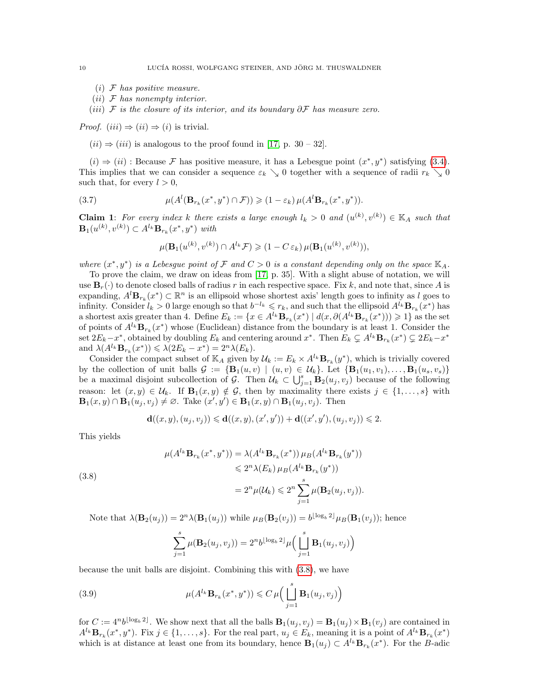- $(i)$  F has positive measure.
- $(ii)$  F has nonempty interior.
- (iii) F is the closure of its interior, and its boundary  $\partial \mathcal{F}$  has measure zero.

*Proof.*  $(iii) \Rightarrow (ii) \Rightarrow (i)$  is trivial.

 $(ii) \Rightarrow (iii)$  is analogous to the proof found in [\[17,](#page-22-3) p. 30 – 32].

 $(i)$  ⇒  $(ii)$ : Because *F* has positive measure, it has a Lebesgue point  $(x^*, y^*)$  satisfying [\(3.4\)](#page-8-1). This implies that we can consider a sequence  $\varepsilon_k \searrow 0$  together with a sequence of radii  $r_k \searrow 0$ such that, for every  $l > 0$ ,

(3.7) 
$$
\mu(A^l(\mathbf{B}_{r_k}(x^*,y^*)\cap\mathcal{F}))\geqslant (1-\varepsilon_k)\,\mu(A^l\mathbf{B}_{r_k}(x^*,y^*)).
$$

**Claim 1:** For every index k there exists a large enough  $l_k > 0$  and  $(u^{(k)}, v^{(k)}) \in \mathbb{K}_A$  such that  ${\bf B}_{1}(u^{(k)},v^{(k)})\subset A^{l_{k}}{\bf B}_{r_{k}}(x^*,y^*)$  with

<span id="page-9-1"></span>
$$
\mu(\mathbf{B}_1(u^{(k)}, v^{(k)}) \cap A^{l_k} \mathcal{F}) \geq (1 - C \varepsilon_k) \mu(\mathbf{B}_1(u^{(k)}, v^{(k)})),
$$

where  $(x^*, y^*)$  is a Lebesgue point of F and  $C > 0$  is a constant depending only on the space  $\mathbb{K}_A$ .

To prove the claim, we draw on ideas from [\[17,](#page-22-3) p. 35]. With a slight abuse of notation, we will use  $\mathbf{B}_r(\cdot)$  to denote closed balls of radius r in each respective space. Fix k, and note that, since A is expanding,  $A^l \mathbf{B}_{r_k}(x^*) \subset \mathbb{R}^n$  is an ellipsoid whose shortest axis' length goes to infinity as l goes to infinity. Consider  $l_k > 0$  large enough so that  $b^{-l_k} \leqslant r_k$ , and such that the ellipsoid  $A^{l_k}$ **B** $_{r_k}(x^*)$  has a shortest axis greater than 4. Define  $E_k := \{x \in A^{l_k} \mathbf{B}_{r_k}(x^*) \mid d(x, \partial (A^{l_k} \mathbf{B}_{r_k}(x^*)) \geq 1\}$  as the set of points of  $A^{l_k} \mathbf{B}_{r_k}(x^*)$  whose (Euclidean) distance from the boundary is at least 1. Consider the set  $2E_k - x^*$ , obtained by doubling  $E_k$  and centering around  $x^*$ . Then  $E_k \subsetneq A^{l_k} \mathbf{B}_{r_k}(x^*) \subsetneq 2E_k - x^*$ and  $\lambda(A^{l_k} \mathbf{B}_{r_k}(x^*)) \leq \lambda(2E_k - x^*) = 2^n \lambda(E_k).$ 

Consider the compact subset of  $\mathbb{K}_A$  given by  $\mathcal{U}_k := E_k \times A^{l_k} \mathbf{B}_{r_k}(y^*)$ , which is trivially covered by the collection of unit balls  $\mathcal{G} := \{ \mathbf{B}_1(u, v) \mid (u, v) \in \mathcal{U}_k \}.$  Let  $\{ \mathbf{B}_1(u_1, v_1), \ldots, \mathbf{B}_1(u_s, v_s) \}$ be a maximal disjoint subcollection of G. Then  $\mathcal{U}_k \subset \bigcup_{j=1}^s \mathbf{B}_2(u_j, v_j)$  because of the following reason: let  $(x, y) \in \mathcal{U}_k$ . If  $\mathbf{B}_1(x, y) \notin \mathcal{G}$ , then by maximality there exists  $j \in \{1, \ldots, s\}$  with  $\mathbf{B}_1(x,y) \cap \mathbf{B}_1(u_j,v_j) \neq \emptyset$ . Take  $(x',y') \in \mathbf{B}_1(x,y) \cap \mathbf{B}_1(u_j,v_j)$ . Then

$$
\mathbf{d}((x,y),(u_j,v_j)) \leqslant \mathbf{d}((x,y),(x',y')) + \mathbf{d}((x',y'),(u_j,v_j)) \leqslant 2.
$$

This yields

<span id="page-9-0"></span>(3.8)  

$$
\mu(A^{l_k} \mathbf{B}_{r_k}(x^*, y^*)) = \lambda(A^{l_k} \mathbf{B}_{r_k}(x^*)) \mu_B(A^{l_k} \mathbf{B}_{r_k}(y^*))
$$

$$
\leq 2^n \lambda(E_k) \mu_B(A^{l_k} \mathbf{B}_{r_k}(y^*))
$$

$$
= 2^n \mu(\mathcal{U}_k) \leq 2^n \sum_{j=1}^s \mu(\mathbf{B}_2(u_j, v_j)).
$$

Note that  $\lambda(\mathbf{B}_2(u_j)) = 2^n \lambda(\mathbf{B}_1(u_j))$  while  $\mu_B(\mathbf{B}_2(v_j)) = b^{\lfloor \log_b 2 \rfloor} \mu_B(\mathbf{B}_1(v_j))$ ; hence

<span id="page-9-2"></span>
$$
\sum_{j=1}^s \mu(\mathbf{B}_2(u_j, v_j)) = 2^n b^{\lfloor \log_b 2 \rfloor} \mu\Big(\bigsqcup_{j=1}^s \mathbf{B}_1(u_j, v_j)\Big)
$$

because the unit balls are disjoint. Combining this with [\(3.8\)](#page-9-0), we have

(3.9) 
$$
\mu(A^{l_k} \mathbf{B}_{r_k}(x^*, y^*)) \leqslant C \mu\Big(\prod_{j=1}^s \mathbf{B}_1(u_j, v_j)\Big)
$$

for  $C := 4^n b^{\lfloor \log_b 2 \rfloor}$ . We show next that all the balls  $\mathbf{B}_1(u_j, v_j) = \mathbf{B}_1(u_j) \times \mathbf{B}_1(v_j)$  are contained in  $A^{l_k} \mathbf{B}_{r_k}(x^*,y^*)$ . Fix  $j \in \{1,\ldots,s\}$ . For the real part,  $u_j \in E_k$ , meaning it is a point of  $A^{l_k} \mathbf{B}_{r_k}(x^*)$ which is at distance at least one from its boundary, hence  $\mathbf{B}_1(u_j) \subset A^{l_k} \mathbf{B}_{r_k}(x^*)$ . For the B-adic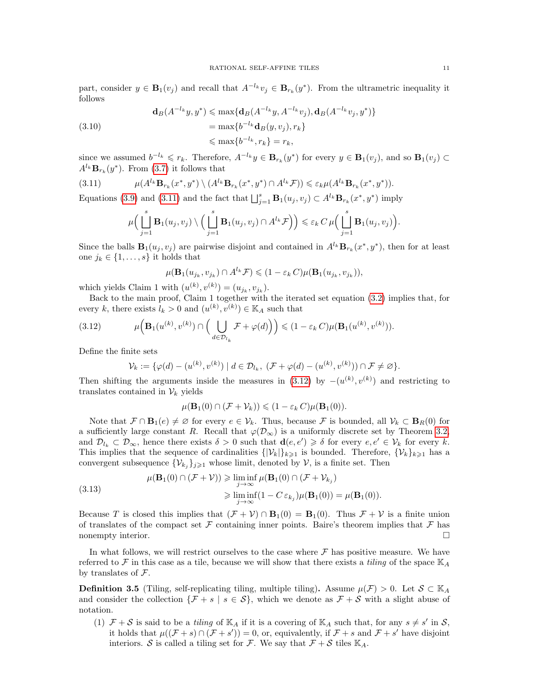part, consider  $y \in \mathbf{B}_{1}(v_{j})$  and recall that  $A^{-l_{k}}v_{j} \in \mathbf{B}_{r_{k}}(y^{*})$ . From the ultrametric inequality it follows

(3.10)  
\n
$$
\mathbf{d}_B(A^{-l_k}y, y^*) \le \max\{\mathbf{d}_B(A^{-l_k}y, A^{-l_k}v_j), \mathbf{d}_B(A^{-l_k}v_j, y^*)\}
$$
\n
$$
= \max\{b^{-l_k}\mathbf{d}_B(y, v_j), r_k\}
$$
\n
$$
\le \max\{b^{-l_k}, r_k\} = r_k,
$$

since we assumed  $b^{-l_k} \leq r_k$ . Therefore,  $A^{-l_k}y \in \mathbf{B}_{r_k}(y^*)$  for every  $y \in \mathbf{B}_1(v_j)$ , and so  $\mathbf{B}_1(v_j) \subset$  $A^{l_k} \mathbf{B}_{r_k}(y^*)$ . From [\(3.7\)](#page-9-1) it follows that

(3.11) 
$$
\mu(A^{l_k} \mathbf{B}_{r_k}(x^*, y^*) \setminus (A^{l_k} \mathbf{B}_{r_k}(x^*, y^*) \cap A^{l_k} \mathcal{F})) \leq \varepsilon_k \mu(A^{l_k} \mathbf{B}_{r_k}(x^*, y^*)).
$$

Equations [\(3.9\)](#page-9-2) and [\(3.11\)](#page-10-0) and the fact that  $\bigsqcup_{j=1}^s \mathbf{B}_1(u_j, v_j) \subset A^{l_k} \mathbf{B}_{r_k}(x^*, y^*)$  imply

<span id="page-10-0"></span>
$$
\mu\Big(\bigsqcup_{j=1}^s\mathbf{B}_1(u_j,v_j)\setminus\Big(\bigsqcup_{j=1}^s\mathbf{B}_1(u_j,v_j)\cap A^{l_k}\mathcal{F}\Big)\Big)\leqslant \varepsilon_k\,C\,\mu\Big(\bigsqcup_{j=1}^s\mathbf{B}_1(u_j,v_j)\Big).
$$

Since the balls  $\mathbf{B}_1(u_j, v_j)$  are pairwise disjoint and contained in  $A^{l_k} \mathbf{B}_{r_k}(x^*, y^*)$ , then for at least one  $j_k \in \{1, \ldots, s\}$  it holds that

$$
\mu(\mathbf{B}_1(u_{j_k}, v_{j_k}) \cap A^{l_k}\mathcal{F}) \leq (1 - \varepsilon_k C)\mu(\mathbf{B}_1(u_{j_k}, v_{j_k})),
$$

which yields Claim 1 with  $(u^{(k)}, v^{(k)}) = (u_{j_k}, v_{j_k}).$ 

Back to the main proof, Claim 1 together with the iterated set equation [\(3.2\)](#page-7-1) implies that, for every k, there exists  $l_k > 0$  and  $(u^{(k)}, v^{(k)}) \in \mathbb{K}_A$  such that

(3.12) 
$$
\mu\Big(\mathbf{B}_1(u^{(k)},v^{(k)})\cap\Big(\bigcup_{d\in\mathcal{D}_{l_k}}\mathcal{F}+\varphi(d)\Big)\Big)\leqslant(1-\varepsilon_k\,C)\mu(\mathbf{B}_1(u^{(k)},v^{(k)})).
$$

Define the finite sets

<span id="page-10-1"></span>
$$
\mathcal{V}_k := \{ \varphi(d) - (u^{(k)}, v^{(k)}) \mid d \in \mathcal{D}_{l_k}, \ (\mathcal{F} + \varphi(d) - (u^{(k)}, v^{(k)})) \cap \mathcal{F} \neq \varnothing \}.
$$

Then shifting the arguments inside the measures in  $(3.12)$  by  $-(u^{(k)}, v^{(k)})$  and restricting to translates contained in  $\mathcal{V}_k$  yields

$$
\mu(\mathbf{B}_1(0) \cap (\mathcal{F} + \mathcal{V}_k)) \leq (1 - \varepsilon_k C)\mu(\mathbf{B}_1(0)).
$$

Note that  $\mathcal{F} \cap \mathbf{B}_1(e) \neq \emptyset$  for every  $e \in \mathcal{V}_k$ . Thus, because F is bounded, all  $\mathcal{V}_k \subset \mathbf{B}_R(0)$  for a sufficiently large constant R. Recall that  $\varphi(\mathcal{D}_{\infty})$  is a uniformly discrete set by Theorem [3.2,](#page-7-2) and  $\mathcal{D}_{l_k} \subset \mathcal{D}_{\infty}$ , hence there exists  $\delta > 0$  such that  $\mathbf{d}(e, e') \geq \delta$  for every  $e, e' \in \mathcal{V}_k$  for every k. This implies that the sequence of cardinalities  $\{|\mathcal{V}_k|\}_{k\geq 1}$  is bounded. Therefore,  $\{\mathcal{V}_k\}_{k\geq 1}$  has a convergent subsequence  $\{\mathcal{V}_{k_j}\}_{j\geqslant 1}$  whose limit, denoted by  $\mathcal{V}$ , is a finite set. Then

(3.13) 
$$
\mu(\mathbf{B}_1(0) \cap (\mathcal{F} + \mathcal{V})) \geq \liminf_{j \to \infty} \mu(\mathbf{B}_1(0) \cap (\mathcal{F} + \mathcal{V}_{k_j})
$$

$$
\geq \liminf_{j \to \infty} (1 - C \varepsilon_{k_j}) \mu(\mathbf{B}_1(0)) = \mu(\mathbf{B}_1(0)).
$$

Because T is closed this implies that  $(\mathcal{F} + \mathcal{V}) \cap \mathbf{B}_1(0) = \mathbf{B}_1(0)$ . Thus  $\mathcal{F} + \mathcal{V}$  is a finite union of translates of the compact set  $\mathcal F$  containing inner points. Baire's theorem implies that  $\mathcal F$  has nonempty interior.

In what follows, we will restrict ourselves to the case where  $\mathcal F$  has positive measure. We have referred to F in this case as a tile, because we will show that there exists a *tiling* of the space  $\mathbb{K}_A$ by translates of  $\mathcal{F}.$ 

<span id="page-10-2"></span>**Definition 3.5** (Tiling, self-replicating tiling, multiple tiling). Assume  $\mu(\mathcal{F}) > 0$ . Let  $\mathcal{S} \subset \mathbb{K}_A$ and consider the collection  $\{\mathcal{F} + s \mid s \in \mathcal{S}\}\$ , which we denote as  $\mathcal{F} + \mathcal{S}$  with a slight abuse of notation.

(1)  $\mathcal{F} + \mathcal{S}$  is said to be a *tiling* of  $\mathbb{K}_A$  if it is a covering of  $\mathbb{K}_A$  such that, for any  $s \neq s'$  in  $\mathcal{S}$ , it holds that  $\mu((\mathcal{F} + s) \cap (\mathcal{F} + s')) = 0$ , or, equivalently, if  $\mathcal{F} + s$  and  $\mathcal{F} + s'$  have disjoint interiors. S is called a tiling set for F. We say that  $\mathcal{F} + \mathcal{S}$  tiles  $\mathbb{K}_A$ .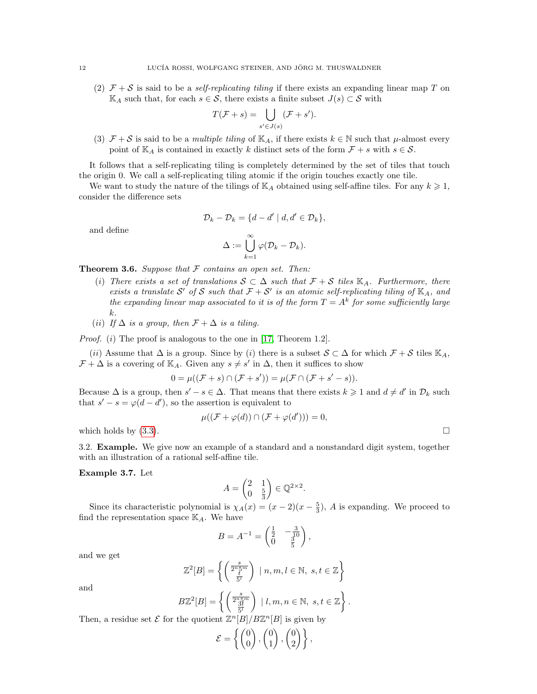(2)  $\mathcal{F} + \mathcal{S}$  is said to be a *self-replicating tiling* if there exists an expanding linear map T on  $\mathbb{K}_A$  such that, for each  $s \in \mathcal{S}$ , there exists a finite subset  $J(s) \subset \mathcal{S}$  with

$$
T(\mathcal{F} + s) = \bigcup_{s' \in J(s)} (\mathcal{F} + s').
$$

(3)  $\mathcal{F} + \mathcal{S}$  is said to be a multiple tiling of  $\mathbb{K}_A$ , if there exists  $k \in \mathbb{N}$  such that  $\mu$ -almost every point of  $\mathbb{K}_A$  is contained in exactly k distinct sets of the form  $\mathcal{F} + s$  with  $s \in \mathcal{S}$ .

It follows that a self-replicating tiling is completely determined by the set of tiles that touch the origin 0. We call a self-replicating tiling atomic if the origin touches exactly one tile.

We want to study the nature of the tilings of  $\mathbb{K}_A$  obtained using self-affine tiles. For any  $k \geq 1$ , consider the difference sets

$$
\mathcal{D}_k - \mathcal{D}_k = \{d - d' \mid d, d' \in \mathcal{D}_k\},\
$$

and define

$$
\Delta:=\bigcup_{k=1}^\infty \varphi(\mathcal{D}_k-\mathcal{D}_k).
$$

**Theorem 3.6.** Suppose that  $F$  contains an open set. Then:

- (i) There exists a set of translations  $S \subset \Delta$  such that  $\mathcal{F} + \mathcal{S}$  tiles  $\mathbb{K}_{A}$ . Furthermore, there exists a translate S' of S such that  $\mathcal{F} + \mathcal{S}'$  is an atomic self-replicating tiling of  $\mathbb{K}_A$ , and the expanding linear map associated to it is of the form  $T = A^k$  for some sufficiently large k.
- (ii) If  $\Delta$  is a group, then  $\mathcal{F} + \Delta$  is a tiling.

Proof. (i) The proof is analogous to the one in [\[17,](#page-22-3) Theorem 1.2].

(ii) Assume that  $\Delta$  is a group. Since by (i) there is a subset  $S \subset \Delta$  for which  $\mathcal{F} + \mathcal{S}$  tiles  $\mathbb{K}_A$ ,  $\mathcal{F} + \Delta$  is a covering of K<sub>A</sub>. Given any  $s \neq s'$  in  $\Delta$ , then it suffices to show

$$
0 = \mu((\mathcal{F} + s) \cap (\mathcal{F} + s')) = \mu(\mathcal{F} \cap (\mathcal{F} + s' - s)).
$$

Because  $\Delta$  is a group, then  $s' - s \in \Delta$ . That means that there exists  $k \geq 1$  and  $d \neq d'$  in  $\mathcal{D}_k$  such that  $s' - s = \varphi(d - d')$ , so the assertion is equivalent to

$$
\mu((\mathcal{F} + \varphi(d)) \cap (\mathcal{F} + \varphi(d'))) = 0,
$$

which holds by  $(3.3)$ .

3.2. Example. We give now an example of a standard and a nonstandard digit system, together with an illustration of a rational self-affine tile.

Example 3.7. Let

$$
A = \begin{pmatrix} 2 & 1 \\ 0 & \frac{5}{3} \end{pmatrix} \in \mathbb{Q}^{2 \times 2}.
$$

Since its characteristic polynomial is  $\chi_A(x) = (x-2)(x-\frac{5}{3})$ , A is expanding. We proceed to find the representation space  $\mathbb{K}_A$ . We have

$$
B = A^{-1} = \begin{pmatrix} \frac{1}{2} & -\frac{3}{10} \\ 0 & \frac{3}{5} \end{pmatrix},
$$

and we get

$$
\mathbb{Z}^2[B] = \left\{ \left( \frac{s}{2^n \frac{5^m}{5^n}} \right) \mid n, m, l \in \mathbb{N}, s, t \in \mathbb{Z} \right\}
$$

and

$$
B\mathbb{Z}^2[B] = \left\{ \left( \frac{s}{\frac{3t}{5^t}} \right) \mid l, m, n \in \mathbb{N}, s, t \in \mathbb{Z} \right\}.
$$

Then, a residue set  $\mathcal E$  for the quotient  $\mathbb Z^n[B]/B\mathbb Z^n[B]$  is given by

$$
\mathcal{E} = \left\{ \begin{pmatrix} 0 \\ 0 \end{pmatrix}, \begin{pmatrix} 0 \\ 1 \end{pmatrix}, \begin{pmatrix} 0 \\ 2 \end{pmatrix} \right\},\
$$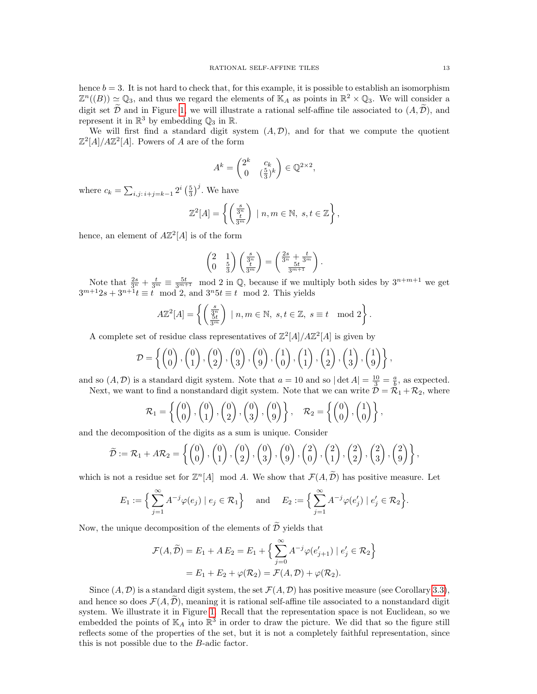hence  $b = 3$ . It is not hard to check that, for this example, it is possible to establish an isomorphism  $\mathbb{Z}^n((B)) \simeq \mathbb{Q}_3$ , and thus we regard the elements of  $\mathbb{K}_A$  as points in  $\mathbb{R}^2 \times \mathbb{Q}_3$ . We will consider a digit set  $\widetilde{\mathcal{D}}$  and in Figure [1,](#page-13-0) we will illustrate a rational self-affine tile associated to  $(A, \widetilde{\mathcal{D}})$ , and represent it in  $\mathbb{R}^3$  by embedding  $\mathbb{Q}_3$  in  $\mathbb{R}$ .

We will first find a standard digit system  $(A, D)$ , and for that we compute the quotient  $\mathbb{Z}^2[A]/A\mathbb{Z}^2[A]$ . Powers of A are of the form

$$
A^k = \begin{pmatrix} 2^k & c_k \\ 0 & \left(\frac{5}{3}\right)^k \end{pmatrix} \in \mathbb{Q}^{2 \times 2},
$$

where  $c_k = \sum_{i,j \colon i+j=k-1} 2^i \left(\frac{5}{3}\right)^j$ . We have

$$
\mathbb{Z}^2[A] = \left\{ \left( \frac{s}{3^n} \right) \mid n, m \in \mathbb{N}, s, t \in \mathbb{Z} \right\},\
$$

hence, an element of  $A\mathbb{Z}^2[A]$  is of the form

$$
\begin{pmatrix} 2 & 1 \ 0 & \frac{5}{3} \end{pmatrix} \begin{pmatrix} \frac{s}{3^n} \\ \frac{t}{3^m} \end{pmatrix} = \begin{pmatrix} \frac{2s}{3^n} + \frac{t}{3^m} \\ \frac{5t}{3^{m+1}} \end{pmatrix}.
$$

Note that  $\frac{2s}{3^n} + \frac{t}{3^m} \equiv \frac{5t}{3^{m+1}}$  mod 2 in Q, because if we multiply both sides by  $3^{n+m+1}$  we get  $3^{m+1}2s + 3^{n+1}t \equiv t \mod 2$ , and  $3^n 5t \equiv t \mod 2$ . This yields

$$
A\mathbb{Z}^2[A] = \left\{ \left( \frac{s}{3n} \atop \frac{5t}{3m} \right) \mid n, m \in \mathbb{N}, s, t \in \mathbb{Z}, s \equiv t \mod 2 \right\}.
$$

A complete set of residue class representatives of  $\mathbb{Z}^2[A]/A\mathbb{Z}^2[A]$  is given by

$$
\mathcal{D} = \left\{ \begin{pmatrix} 0 \\ 0 \end{pmatrix}, \begin{pmatrix} 0 \\ 1 \end{pmatrix}, \begin{pmatrix} 0 \\ 2 \end{pmatrix}, \begin{pmatrix} 0 \\ 3 \end{pmatrix}, \begin{pmatrix} 0 \\ 9 \end{pmatrix}, \begin{pmatrix} 1 \\ 0 \end{pmatrix}, \begin{pmatrix} 1 \\ 1 \end{pmatrix}, \begin{pmatrix} 1 \\ 2 \end{pmatrix}, \begin{pmatrix} 1 \\ 3 \end{pmatrix}, \begin{pmatrix} 1 \\ 9 \end{pmatrix} \right\},
$$

and so  $(A, \mathcal{D})$  is a standard digit system. Note that  $a = 10$  and so  $|\det A| = \frac{10}{3} = \frac{a}{b}$ , as expected. Next, we want to find a nonstandard digit system. Note that we can write  $\mathcal{D} = \mathcal{R}_1 + \mathcal{R}_2$ , where

$$
\mathcal{R}_1 = \left\{ \begin{pmatrix} 0 \\ 0 \end{pmatrix}, \begin{pmatrix} 0 \\ 1 \end{pmatrix}, \begin{pmatrix} 0 \\ 2 \end{pmatrix}, \begin{pmatrix} 0 \\ 3 \end{pmatrix}, \begin{pmatrix} 0 \\ 9 \end{pmatrix} \right\}, \quad \mathcal{R}_2 = \left\{ \begin{pmatrix} 0 \\ 0 \end{pmatrix}, \begin{pmatrix} 1 \\ 0 \end{pmatrix} \right\},\
$$

and the decomposition of the digits as a sum is unique. Consider

$$
\widetilde{\mathcal{D}} := \mathcal{R}_1 + A\mathcal{R}_2 = \left\{ \begin{pmatrix} 0 \\ 0 \end{pmatrix}, \begin{pmatrix} 0 \\ 1 \end{pmatrix}, \begin{pmatrix} 0 \\ 2 \end{pmatrix}, \begin{pmatrix} 0 \\ 3 \end{pmatrix}, \begin{pmatrix} 0 \\ 9 \end{pmatrix}, \begin{pmatrix} 2 \\ 0 \end{pmatrix}, \begin{pmatrix} 2 \\ 1 \end{pmatrix}, \begin{pmatrix} 2 \\ 2 \end{pmatrix}, \begin{pmatrix} 2 \\ 3 \end{pmatrix}, \begin{pmatrix} 2 \\ 9 \end{pmatrix} \right\},\
$$

which is not a residue set for  $\mathbb{Z}^n[A]$  mod A. We show that  $\mathcal{F}(A,\widetilde{\mathcal{D}})$  has positive measure. Let

$$
E_1 := \Big\{ \sum_{j=1}^{\infty} A^{-j} \varphi(e_j) \mid e_j \in \mathcal{R}_1 \Big\} \quad \text{and} \quad E_2 := \Big\{ \sum_{j=1}^{\infty} A^{-j} \varphi(e'_j) \mid e'_j \in \mathcal{R}_2 \Big\}.
$$

Now, the unique decomposition of the elements of  $\widetilde{\mathcal{D}}$  yields that

$$
\mathcal{F}(A,\widetilde{\mathcal{D}}) = E_1 + A E_2 = E_1 + \left\{ \sum_{j=0}^{\infty} A^{-j} \varphi(e'_{j+1}) \mid e'_j \in \mathcal{R}_2 \right\}
$$

$$
= E_1 + E_2 + \varphi(\mathcal{R}_2) = \mathcal{F}(A,\mathcal{D}) + \varphi(\mathcal{R}_2).
$$

Since  $(A, \mathcal{D})$  is a standard digit system, the set  $\mathcal{F}(A, \mathcal{D})$  has positive measure (see Corollary [3.3\)](#page-8-4), and hence so does  $\mathcal{F}(A, \mathcal{D})$ , meaning it is rational self-affine tile associated to a nonstandard digit system. We illustrate it in Figure [1.](#page-13-0) Recall that the representation space is not Euclidean, so we embedded the points of  $\mathbb{K}_A$  into  $\mathbb{R}^3$  in order to draw the picture. We did that so the figure still reflects some of the properties of the set, but it is not a completely faithful representation, since this is not possible due to the B-adic factor.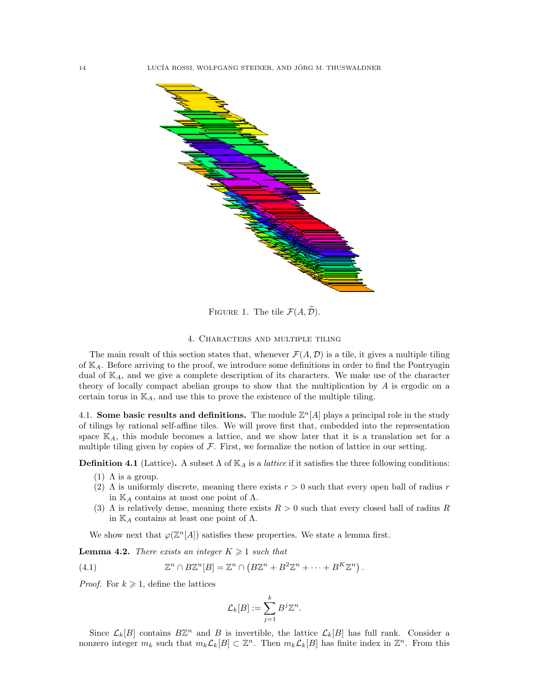

<span id="page-13-0"></span>FIGURE 1. The tile  $\mathcal{F}(A,\widetilde{\mathcal{D}})$ .

## 4. Characters and multiple tiling

The main result of this section states that, whenever  $\mathcal{F}(A, \mathcal{D})$  is a tile, it gives a multiple tiling of  $\mathbb{K}_{A}$ . Before arriving to the proof, we introduce some definitions in order to find the Pontryagin dual of  $\mathbb{K}_A$ , and we give a complete description of its characters. We make use of the character theory of locally compact abelian groups to show that the multiplication by A is ergodic on a certain torus in  $\mathbb{K}_A$ , and use this to prove the existence of the multiple tiling.

4.1. Some basic results and definitions. The module  $\mathbb{Z}^n[A]$  plays a principal role in the study of tilings by rational self-affine tiles. We will prove first that, embedded into the representation space  $K_A$ , this module becomes a lattice, and we show later that it is a translation set for a multiple tiling given by copies of  $\mathcal F$ . First, we formalize the notion of lattice in our setting.

**Definition 4.1** (Lattice). A subset  $\Lambda$  of  $\mathbb{K}_A$  is a *lattice* if it satisfies the three following conditions:

- (1)  $\Lambda$  is a group.
- (2)  $\Lambda$  is uniformly discrete, meaning there exists  $r > 0$  such that every open ball of radius r in  $\mathbb{K}_A$  contains at most one point of  $\Lambda$ .
- (3)  $\Lambda$  is relatively dense, meaning there exists  $R > 0$  such that every closed ball of radius R in  $\mathbb{K}_A$  contains at least one point of  $\Lambda$ .

We show next that  $\varphi(\mathbb{Z}^n[A])$  satisfies these properties. We state a lemma first.

<span id="page-13-1"></span>**Lemma 4.2.** There exists an integer  $K \geq 1$  such that

(4.1) 
$$
\mathbb{Z}^n \cap B\mathbb{Z}^n[B] = \mathbb{Z}^n \cap (B\mathbb{Z}^n + B^2\mathbb{Z}^n + \cdots + B^K\mathbb{Z}^n).
$$

*Proof.* For  $k \geq 1$ , define the lattices

$$
\mathcal{L}_k[B] := \sum_{j=1}^k B^j \mathbb{Z}^n.
$$

Since  $\mathcal{L}_k[B]$  contains  $B\mathbb{Z}^n$  and B is invertible, the lattice  $\mathcal{L}_k[B]$  has full rank. Consider a nonzero integer  $m_k$  such that  $m_k \mathcal{L}_k[B] \subset \mathbb{Z}^n$ . Then  $m_k \mathcal{L}_k[B]$  has finite index in  $\mathbb{Z}^n$ . From this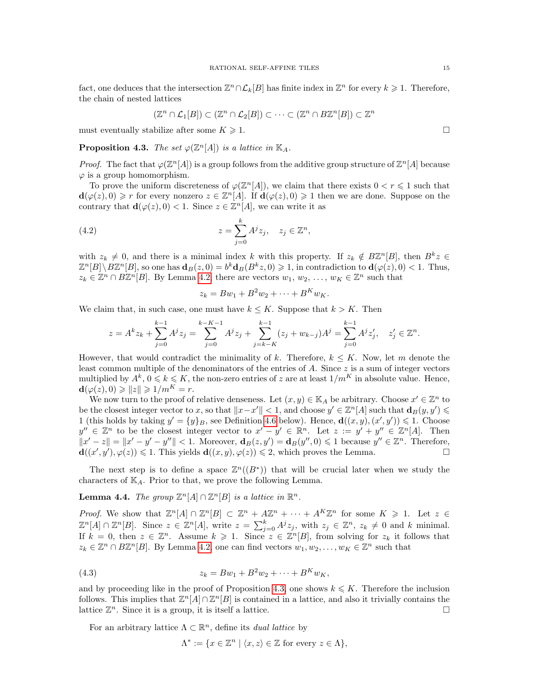fact, one deduces that the intersection  $\mathbb{Z}^n \cap \mathcal{L}_k[B]$  has finite index in  $\mathbb{Z}^n$  for every  $k \geq 1$ . Therefore, the chain of nested lattices

$$
(\mathbb{Z}^n \cap \mathcal{L}_1[B]) \subset (\mathbb{Z}^n \cap \mathcal{L}_2[B]) \subset \cdots \subset (\mathbb{Z}^n \cap B\mathbb{Z}^n[B]) \subset \mathbb{Z}
$$

must eventually stabilize after some  $K \geq 1$ .

<span id="page-14-0"></span>**Proposition 4.3.** The set  $\varphi(\mathbb{Z}^n[A])$  is a lattice in  $\mathbb{K}_A$ .

*Proof.* The fact that  $\varphi(\mathbb{Z}^n[A])$  is a group follows from the additive group structure of  $\mathbb{Z}^n[A]$  because  $\varphi$  is a group homomorphism.

To prove the uniform discreteness of  $\varphi(\mathbb{Z}^n[A])$ , we claim that there exists  $0 < r \leq 1$  such that  $d(\varphi(z),0) \geq r$  for every nonzero  $z \in \mathbb{Z}^n[A]$ . If  $d(\varphi(z),0) \geq 1$  then we are done. Suppose on the contrary that  $\mathbf{d}(\varphi(z),0) < 1$ . Since  $z \in \mathbb{Z}^n[A]$ , we can write it as

(4.2) 
$$
z = \sum_{j=0}^{k} A^j z_j, \quad z_j \in \mathbb{Z}^n,
$$

with  $z_k \neq 0$ , and there is a minimal index k with this property. If  $z_k \notin B\mathbb{Z}^n[B]$ , then  $B^k z \in$  $\mathbb{Z}^n[B]\setminus B\mathbb{Z}^n[B]$ , so one has  $\mathbf{d}_B(z,0) = b^k \mathbf{d}_B(B^k z,0) \geq 1$ , in contradiction to  $\mathbf{d}(\varphi(z),0) < 1$ . Thus,  $z_k \in \mathbb{Z}^n \cap B\mathbb{Z}^n[B]$ . By Lemma [4.2,](#page-13-1) there are vectors  $w_1, w_2, \ldots, w_K \in \mathbb{Z}^n$  such that

$$
z_k = Bw_1 + B^2w_2 + \cdots + B^K w_K.
$$

We claim that, in such case, one must have  $k \leq K$ . Suppose that  $k > K$ . Then

$$
z = A^k z_k + \sum_{j=0}^{k-1} A^j z_j = \sum_{j=0}^{k-K-1} A^j z_j + \sum_{j=k-K}^{k-1} (z_j + w_{k-j}) A^j = \sum_{j=0}^{k-1} A^j z'_j, \quad z'_j \in \mathbb{Z}^n.
$$

However, that would contradict the minimality of k. Therefore,  $k \leq K$ . Now, let m denote the least common multiple of the denominators of the entries of  $A$ . Since  $z$  is a sum of integer vectors multiplied by  $A^k$ ,  $0 \leq k \leq K$ , the non-zero entries of z are at least  $1/m^K$  in absolute value. Hence,  $\mathbf{d}(\varphi(z),0) \geq ||z|| \geq 1/m^K = r.$ 

We now turn to the proof of relative denseness. Let  $(x, y) \in \mathbb{K}_A$  be arbitrary. Choose  $x' \in \mathbb{Z}^n$  to be the closest integer vector to x, so that  $||x-x'|| < 1$ , and choose  $y' \in \mathbb{Z}^n[A]$  such that  $\mathbf{d}_B(y, y') \leq$ 1 (this holds by taking  $y' = {y}_B$ , see Definition [4.6](#page-15-0) below). Hence,  $\mathbf{d}((x, y), (x', y')) \leq 1$ . Choose  $y'' \in \mathbb{Z}^n$  to be the closest integer vector to  $x' - y' \in \mathbb{R}^n$ . Let  $z := y' + y'' \in \mathbb{Z}^n[A]$ . Then  $||x'-z|| = ||x'-y'-y''|| < 1.$  Moreover,  $\mathbf{d}_B(z, y') = \mathbf{d}_B(y'', 0) \leq 1$  because  $y'' \in \mathbb{Z}^n$ . Therefore,  $\mathbf{d}((x',y'),\varphi(z)) \leq 1$ . This yields  $\mathbf{d}((x,y),\varphi(z)) \leq 2$ , which proves the Lemma.

The next step is to define a space  $\mathbb{Z}^n((B^*))$  that will be crucial later when we study the characters of  $\mathbb{K}_A$ . Prior to that, we prove the following Lemma.

<span id="page-14-1"></span>**Lemma 4.4.** The group  $\mathbb{Z}^n[A] \cap \mathbb{Z}^n[B]$  is a lattice in  $\mathbb{R}^n$ .

*Proof.* We show that  $\mathbb{Z}^n[A] \cap \mathbb{Z}^n[B] \subset \mathbb{Z}^n + A\mathbb{Z}^n + \cdots + A^K\mathbb{Z}^n$  for some  $K \geq 1$ . Let  $z \in$  $\mathbb{Z}^n[A] \cap \mathbb{Z}^n[B]$ . Since  $z \in \mathbb{Z}^n[A]$ , write  $z = \sum_{j=0}^k A^j z_j$ , with  $z_j \in \mathbb{Z}^n$ ,  $z_k \neq 0$  and k minimal. If  $k = 0$ , then  $z \in \mathbb{Z}^n$ . Assume  $k \geq 1$ . Since  $z \in \mathbb{Z}^n[B]$ , from solving for  $z_k$  it follows that  $z_k \in \mathbb{Z}^n \cap B\mathbb{Z}^n[B]$ . By Lemma [4.2,](#page-13-1) one can find vectors  $w_1, w_2, \ldots, w_K \in \mathbb{Z}^n$  such that

(4.3) 
$$
z_k = Bw_1 + B^2w_2 + \dots + B^Kw_K,
$$

and by proceeding like in the proof of Proposition [4.3,](#page-14-0) one shows  $k \leq K$ . Therefore the inclusion follows. This implies that  $\mathbb{Z}^n[A] \cap \mathbb{Z}^n[B]$  is contained in a lattice, and also it trivially contains the lattice  $\mathbb{Z}^n$ . Since it is a group, it is itself a lattice.

For an arbitrary lattice  $\Lambda \subset \mathbb{R}^n$ , define its *dual lattice* by

$$
\Lambda^* := \{ x \in \mathbb{Z}^n \mid \langle x, z \rangle \in \mathbb{Z} \text{ for every } z \in \Lambda \},
$$

n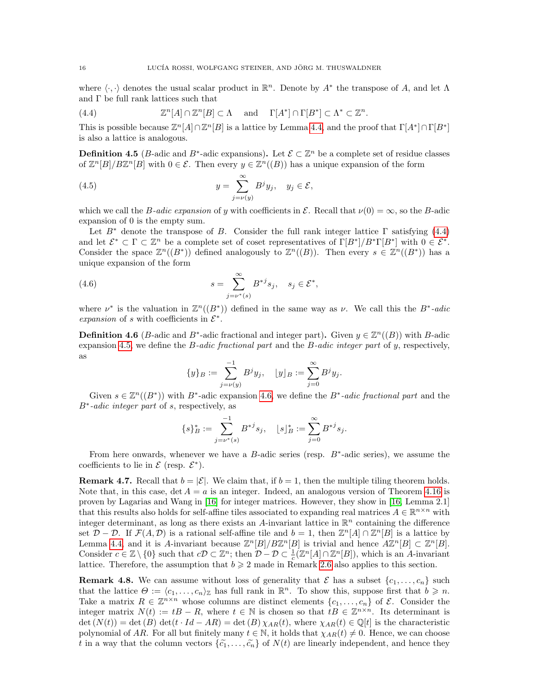where  $\langle \cdot, \cdot \rangle$  denotes the usual scalar product in  $\mathbb{R}^n$ . Denote by  $A^*$  the transpose of A, and let  $\Lambda$ and Γ be full rank lattices such that

.

<span id="page-15-1"></span>(4.4) 
$$
\mathbb{Z}^n[A] \cap \mathbb{Z}^n[B] \subset \Lambda \quad \text{and} \quad \Gamma[A^*] \cap \Gamma[B^*] \subset \Lambda^* \subset \mathbb{Z}^n
$$

This is possible because  $\mathbb{Z}^n[A] \cap \mathbb{Z}^n[B]$  is a lattice by Lemma [4.4,](#page-14-1) and the proof that  $\Gamma[A^*] \cap \Gamma[B^*]$ is also a lattice is analogous.

**Definition 4.5** (*B*-adic and *B*<sup>\*</sup>-adic expansions). Let  $\mathcal{E} \subset \mathbb{Z}^n$  be a complete set of residue classes of  $\mathbb{Z}^n[B]/B\mathbb{Z}^n[B]$  with  $0 \in \mathcal{E}$ . Then every  $y \in \mathbb{Z}^n((B))$  has a unique expansion of the form

<span id="page-15-2"></span>(4.5) 
$$
y = \sum_{j=\nu(y)}^{\infty} B^j y_j, \quad y_j \in \mathcal{E},
$$

which we call the B-adic expansion of y with coefficients in  $\mathcal{E}$ . Recall that  $\nu(0) = \infty$ , so the B-adic expansion of 0 is the empty sum.

Let  $B^*$  denote the transpose of B. Consider the full rank integer lattice  $\Gamma$  satisfying [\(4.4\)](#page-15-1) and let  $\mathcal{E}^* \subset \Gamma \subset \mathbb{Z}^n$  be a complete set of coset representatives of  $\Gamma[B^*]/B^*\Gamma[B^*]$  with  $0 \in \mathcal{E}^*$ . Consider the space  $\mathbb{Z}^n((B^*))$  defined analogously to  $\mathbb{Z}^n((B))$ . Then every  $s \in \mathbb{Z}^n((B^*))$  has a unique expansion of the form

(4.6) 
$$
s = \sum_{j=\nu^*(s)}^{\infty} B^{*j} s_j, \quad s_j \in \mathcal{E}^*,
$$

where  $\nu^*$  is the valuation in  $\mathbb{Z}^n((B^*))$  defined in the same way as  $\nu$ . We call this the  $B^*$ -adic expansion of s with coefficients in  $\mathcal{E}^*$ .

<span id="page-15-0"></span>**Definition 4.6** (*B*-adic and *B*<sup>\*</sup>-adic fractional and integer part). Given  $y \in \mathbb{Z}^n((B))$  with *B*-adic expansion [4.5,](#page-15-2) we define the  $B$ -adic fractional part and the  $B$ -adic integer part of y, respectively, as

<span id="page-15-3"></span>
$$
\{y\}_B := \sum_{j=\nu(y)}^{-1} B^j y_j, \quad [y]_B := \sum_{j=0}^{\infty} B^j y_j.
$$

Given  $s \in \mathbb{Z}^n((B^*))$  with  $B^*$ -adic expansion [4.6,](#page-15-3) we define the  $B^*$ -adic fractional part and the B<sup>∗</sup> -adic integer part of s, respectively, as

$$
\{s\}_B^*:=\sum_{j=\nu^*(s)}^{-1}B^{*j}s_j,\quad \ \ [s]^*_B:=\sum_{j=0}^\infty B^{*j}s_j.
$$

From here onwards, whenever we have a  $B$ -adic series (resp.  $B^*$ -adic series), we assume the coefficients to lie in  $\mathcal E$  (resp.  $\mathcal E^*$ ).

**Remark 4.7.** Recall that  $b = |\mathcal{E}|$ . We claim that, if  $b = 1$ , then the multiple tiling theorem holds. Note that, in this case,  $\det A = a$  is an integer. Indeed, an analogous version of Theorem [4.16](#page-20-0) is proven by Lagarias and Wang in [\[16\]](#page-22-2) for integer matrices. However, they show in [\[16,](#page-22-2) Lemma 2.1] that this results also holds for self-affine tiles associated to expanding real matrices  $A \in \mathbb{R}^{n \times n}$  with integer determinant, as long as there exists an A-invariant lattice in  $\mathbb{R}^n$  containing the difference set  $\mathcal{D} - \mathcal{D}$ . If  $\mathcal{F}(A, \mathcal{D})$  is a rational self-affine tile and  $b = 1$ , then  $\mathbb{Z}^n[A] \cap \mathbb{Z}^n[B]$  is a lattice by Lemma [4.4,](#page-14-1) and it is A-invariant because  $\mathbb{Z}^n[B]/B\mathbb{Z}^n[B]$  is trivial and hence  $A\mathbb{Z}^n[B] \subset \mathbb{Z}^n[B]$ . Consider  $c \in \mathbb{Z} \setminus \{0\}$  such that  $c\mathcal{D} \subset \mathbb{Z}^n$ ; then  $\mathcal{D} - \mathcal{D} \subset \frac{1}{c}(\mathbb{Z}^n[A] \cap \mathbb{Z}^n[B])$ , which is an A-invariant lattice. Therefore, the assumption that  $b \geq 2$  made in Remark [2.6](#page-5-1) also applies to this section.

<span id="page-15-4"></span>**Remark 4.8.** We can assume without loss of generality that  $\mathcal{E}$  has a subset  $\{c_1, \ldots, c_n\}$  such that the lattice  $\Theta := \langle c_1, \ldots, c_n \rangle_{\mathbb{Z}}$  has full rank in  $\mathbb{R}^n$ . To show this, suppose first that  $b \geq n$ . Take a matrix  $R \in \mathbb{Z}^{n \times n}$  whose columns are distinct elements  $\{c_1, \ldots, c_n\}$  of  $\mathcal{E}$ . Consider the integer matrix  $N(t) := tB - R$ , where  $t \in \mathbb{N}$  is chosen so that  $tB \in \mathbb{Z}^{n \times n}$ . Its determinant is  $\det(N(t)) = \det(B) \det(t \cdot Id - AR) = \det(B) \chi_{AR}(t)$ , where  $\chi_{AR}(t) \in \mathbb{Q}[t]$  is the characteristic polynomial of AR. For all but finitely many  $t \in \mathbb{N}$ , it holds that  $\chi_{AR}(t) \neq 0$ . Hence, we can choose t in a way that the column vectors  $\{\tilde{c}_1, \ldots, \tilde{c}_n\}$  of  $N(t)$  are linearly independent, and hence they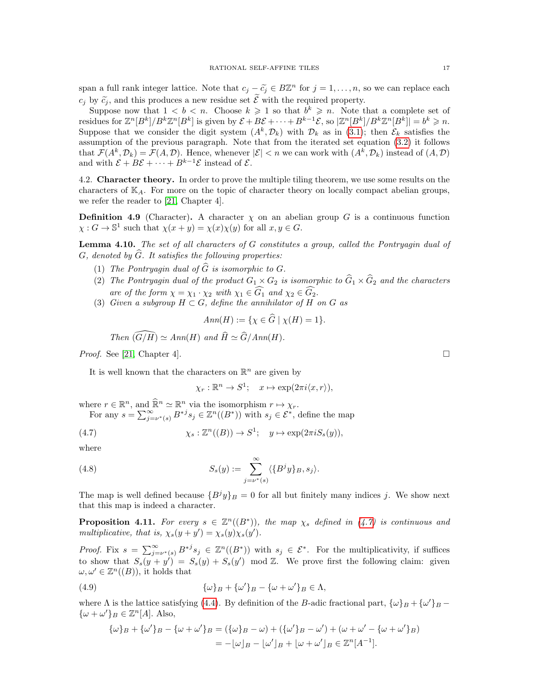span a full rank integer lattice. Note that  $c_j - \tilde{c}_j \in B\mathbb{Z}^n$  for  $j = 1, ..., n$ , so we can replace each  $c_i$  by  $\tilde{c}_i$ , and this produces a new residue set  $\tilde{\mathcal{E}}$  with the required property.

Suppose now that  $1 < b < n$ . Choose  $k \geq 1$  so that  $b^k \geq n$ . Note that a complete set of residues for  $\mathbb{Z}^n[B^k]/B^k\mathbb{Z}^n[B^k]$  is given by  $\mathcal{E} + B\mathcal{E} + \cdots + B^{k-1}\mathcal{E}$ , so  $|\mathbb{Z}^n[B^k]/B^k\mathbb{Z}^n[B^k]| = b^k \geq n$ . Suppose that we consider the digit system  $(A^k, \mathcal{D}_k)$  with  $\mathcal{D}_k$  as in [\(3.1\)](#page-7-3); then  $\mathcal{E}_k$  satisfies the assumption of the previous paragraph. Note that from the iterated set equation [\(3.2\)](#page-7-1) it follows that  $\mathcal{F}(A^k, \mathcal{D}_k) = \mathcal{F}(A, \mathcal{D})$ . Hence, whenever  $|\mathcal{E}| < n$  we can work with  $(A^k, \mathcal{D}_k)$  instead of  $(A, \mathcal{D})$ and with  $\mathcal{E} + B\mathcal{E} + \cdots + B^{k-1}\mathcal{E}$  instead of  $\mathcal{E}$ .

4.2. Character theory. In order to prove the multiple tiling theorem, we use some results on the characters of  $K_A$ . For more on the topic of character theory on locally compact abelian groups, we refer the reader to [\[21,](#page-22-18) Chapter 4].

**Definition 4.9** (Character). A character  $\chi$  on an abelian group G is a continuous function  $\chi: G \to \mathbb{S}^1$  such that  $\chi(x+y) = \chi(x)\chi(y)$  for all  $x, y \in G$ .

<span id="page-16-3"></span>**Lemma 4.10.** The set of all characters of  $G$  constitutes a group, called the Pontryagin dual of G, denoted by  $\widehat{G}$ . It satisfies the following properties:

- (1) The Pontryagin dual of  $\widehat{G}$  is isomorphic to G.
- (2) The Pontryagin dual of the product  $G_1 \times G_2$  is isomorphic to  $\widehat{G}_1 \times \widehat{G}_2$  and the characters are of the form  $\chi = \chi_1 \cdot \chi_2$  with  $\chi_1 \in \widehat{G}_1$  and  $\chi_2 \in \widehat{G}_2$ .
- (3) Given a subgroup  $H \subset G$ , define the annihilator of H on G as

$$
Ann(H) := \{ \chi \in G \mid \chi(H) = 1 \}.
$$

Then  $(\widehat{G/H}) \simeq Ann(H)$  and  $\widehat{H} \simeq \widehat{G}/Ann(H)$ .

*Proof.* See [\[21,](#page-22-18) Chapter 4].  $\Box$ 

It is well known that the characters on  $\mathbb{R}^n$  are given by

<span id="page-16-2"></span><span id="page-16-0"></span>
$$
\chi_r : \mathbb{R}^n \to S^1; \quad x \mapsto \exp(2\pi i \langle x, r \rangle),
$$

where  $r \in \mathbb{R}^n$ , and  $\widehat{\mathbb{R}}^n \simeq \mathbb{R}^n$  via the isomorphism  $r \mapsto \chi_r$ .

For any  $s = \sum_{j=\nu^*(s)}^{\infty} B^{*j} s_j \in \mathbb{Z}^n((B^*))$  with  $s_j \in \mathcal{E}^*$ , define the map

(4.7) 
$$
\chi_s: \mathbb{Z}^n((B)) \to S^1; \quad y \mapsto \exp(2\pi i S_s(y)),
$$

where

(4.8) 
$$
S_s(y) := \sum_{j=\nu^*(s)}^{\infty} \langle \{B^jy\}_B, s_j \rangle.
$$

The map is well defined because  $\{B^j y\}_B = 0$  for all but finitely many indices j. We show next that this map is indeed a character.

<span id="page-16-4"></span>**Proposition 4.11.** For every  $s \in \mathbb{Z}^n((B^*))$ , the map  $\chi_s$  defined in [\(4.7\)](#page-16-0) is continuous and multiplicative, that is,  $\chi_s(y + y') = \chi_s(y)\chi_s(y')$ .

*Proof.* Fix  $s = \sum_{j=\nu^*(s)}^{\infty} B^{*j} s_j \in \mathbb{Z}^n((B^*))$  with  $s_j \in \mathcal{E}^*$ . For the multiplicativity, if suffices to show that  $S_s(y + y') = S_s(y) + S_s(y')$  mod Z. We prove first the following claim: given  $\omega, \omega' \in \mathbb{Z}^n((B))$ , it holds that

(4.9) 
$$
\{\omega\}_B + \{\omega'\}_B - \{\omega + \omega'\}_B \in \Lambda,
$$

where  $\Lambda$  is the lattice satisfying [\(4.4\)](#page-15-1). By definition of the B-adic fractional part,  $\{\omega\}_B + {\{\omega'\}}_B$  –  $\{\omega + \omega'\}_B \in \mathbb{Z}^n[A]$ . Also,

<span id="page-16-1"></span>
$$
\{\omega\}_B + \{\omega'\}_B - \{\omega + \omega'\}_B = (\{\omega\}_B - \omega) + (\{\omega'\}_B - \omega') + (\omega + \omega' - \{\omega + \omega'\}_B) = -[\omega]_B - [\omega']_B + [\omega + \omega']_B \in \mathbb{Z}^n[A^{-1}].
$$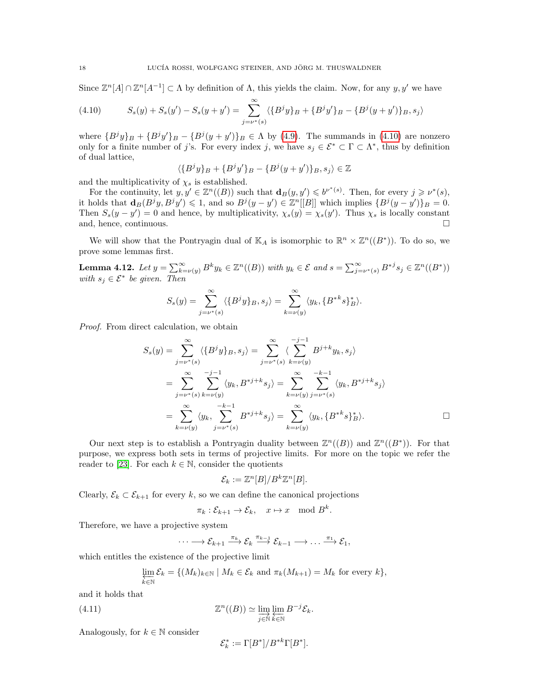Since  $\mathbb{Z}^n[A] \cap \mathbb{Z}^n[A^{-1}] \subset \Lambda$  by definition of  $\Lambda$ , this yields the claim. Now, for any  $y, y'$  we have

<span id="page-17-0"></span>(4.10) 
$$
S_s(y) + S_s(y') - S_s(y + y') = \sum_{j=\nu^*(s)}^{\infty} \langle \{B^j y\}_B + \{B^j y'\}_B - \{B^j (y + y')\}_B, s_j \rangle
$$

where  ${B<sup>j</sup>y}_B + {B<sup>j</sup>y}'_B - {B<sup>j</sup>(y + y')}_B \in \Lambda$  by [\(4.9\)](#page-16-1). The summands in [\(4.10\)](#page-17-0) are nonzero only for a finite number of j's. For every index j, we have  $s_j \in \mathcal{E}^* \subset \Gamma \subset \Lambda^*$ , thus by definition of dual lattice,

$$
\langle \{B^j y\}_B + \{B^j y'\}_B - \{B^j (y + y')\}_B, s_j \rangle \in \mathbb{Z}
$$

and the multiplicativity of  $\chi_s$  is established.

For the continuity, let  $y, y' \in \mathbb{Z}^n((B))$  such that  $\mathbf{d}_B(y, y') \leqslant b^{\nu^*(s)}$ . Then, for every  $j \geqslant \nu^*(s)$ , it holds that  $\mathbf{d}_B(B^jy, B^jy') \leq 1$ , and so  $B^j(y - y') \in \mathbb{Z}^n[[B]]$  which implies  $\{B^j(y - y')\}_B = 0$ . Then  $S_s(y - y') = 0$  and hence, by multiplicativity,  $\chi_s(y) = \chi_s(y')$ . Thus  $\chi_s$  is locally constant and, hence, continuous.

We will show that the Pontryagin dual of  $\mathbb{K}_A$  is isomorphic to  $\mathbb{R}^n \times \mathbb{Z}^n((B^*))$ . To do so, we prove some lemmas first.

<span id="page-17-1"></span>**Lemma 4.12.** Let  $y = \sum_{k=\nu(y)}^{\infty} B^k y_k \in \mathbb{Z}^n((B))$  with  $y_k \in \mathcal{E}$  and  $s = \sum_{j=\nu^*(s)}^{\infty} B^{*j} s_j \in \mathbb{Z}^n((B^*))$ with  $s_j \in \mathcal{E}^*$  be given. Then

$$
S_s(y) = \sum_{j=\nu^*(s)}^{\infty} \langle \{B^j y\}_B, s_j \rangle = \sum_{k=\nu(y)}^{\infty} \langle y_k, \{B^{*k}s\}_B^* \rangle.
$$

Proof. From direct calculation, we obtain

$$
S_s(y) = \sum_{j=\nu^*(s)}^{\infty} \langle \{B^jy\}_B, s_j \rangle = \sum_{j=\nu^*(s)}^{\infty} \langle \sum_{k=\nu(y)}^{-j-1} B^{j+k}y_k, s_j \rangle
$$
  
= 
$$
\sum_{j=\nu^*(s)}^{\infty} \sum_{k=\nu(y)}^{-j-1} \langle y_k, B^{*j+k} s_j \rangle = \sum_{k=\nu(y)}^{\infty} \sum_{j=\nu^*(s)}^{-k-1} \langle y_k, B^{*j+k} s_j \rangle
$$
  
= 
$$
\sum_{k=\nu(y)}^{\infty} \langle y_k, \sum_{j=\nu^*(s)}^{-k-1} B^{*j+k} s_j \rangle = \sum_{k=\nu(y)}^{\infty} \langle y_k, \{B^{*k} s\}_B^* \rangle.
$$

Our next step is to establish a Pontryagin duality between  $\mathbb{Z}^n((B))$  and  $\mathbb{Z}^n((B^*))$ . For that purpose, we express both sets in terms of projective limits. For more on the topic we refer the reader to [\[23\]](#page-22-19). For each  $k \in \mathbb{N}$ , consider the quotients

$$
\mathcal{E}_k := \mathbb{Z}^n[B]/B^k\mathbb{Z}^n[B].
$$

Clearly,  $\mathcal{E}_k \subset \mathcal{E}_{k+1}$  for every k, so we can define the canonical projections

$$
\pi_k: \mathcal{E}_{k+1} \to \mathcal{E}_k, \quad x \mapsto x \mod B^k.
$$

Therefore, we have a projective system

$$
\cdots \longrightarrow \mathcal{E}_{k+1} \xrightarrow{\pi_k} \mathcal{E}_k \xrightarrow{\pi_{k-1}} \mathcal{E}_{k-1} \longrightarrow \ldots \xrightarrow{\pi_1} \mathcal{E}_1,
$$

which entitles the existence of the projective limit

$$
\varprojlim_{k \in \mathbb{N}} \mathcal{E}_k = \{ (M_k)_{k \in \mathbb{N}} \mid M_k \in \mathcal{E}_k \text{ and } \pi_k(M_{k+1}) = M_k \text{ for every } k \},\
$$

and it holds that

(4.11) 
$$
\mathbb{Z}^n((B)) \simeq \varinjlim_{j \in \mathbb{N}} \varprojlim_{k \in \mathbb{N}} B^{-j} \mathcal{E}_k.
$$

Analogously, for  $k \in \mathbb{N}$  consider

<span id="page-17-2"></span>
$$
\mathcal{E}_k^* := \Gamma[B^*]/B^{*k}\Gamma[B^*].
$$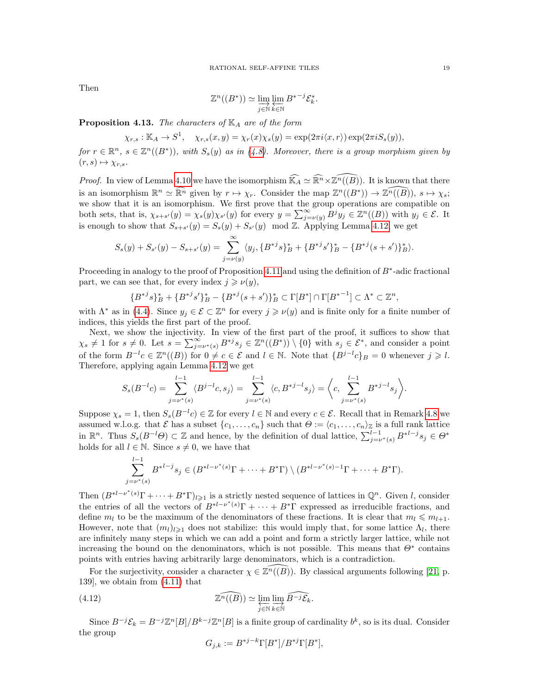Then

$$
\mathbb{Z}^n((B^*)) \simeq \varinjlim_{j \in \mathbb{N}} \varprojlim_{k \in \mathbb{N}} B^{*-j} \mathcal{E}_k^*.
$$

<span id="page-18-1"></span>**Proposition 4.13.** The characters of  $\mathbb{K}_A$  are of the form

$$
\chi_{r,s}: \mathbb{K}_A \to S^1, \quad \chi_{r,s}(x,y) = \chi_r(x)\chi_s(y) = \exp(2\pi i \langle x, r \rangle) \exp(2\pi i S_s(y)),
$$

for  $r \in \mathbb{R}^n$ ,  $s \in \mathbb{Z}^n((B^*))$ , with  $S_s(y)$  as in [\(4.8\)](#page-16-2). Moreover, there is a group morphism given by  $(r, s) \mapsto \chi_{r,s}.$ 

*Proof.* In view of Lemma [4.10](#page-16-3) we have the isomorphism  $\widehat{\mathbb{K}_A} \simeq \widehat{\mathbb{R}^n} \times \widehat{\mathbb{Z}^n((B)})$ . It is known that there is an isomorphism  $\mathbb{R}^n \simeq \widehat{\mathbb{R}^n}$  given by  $r \mapsto \chi_r$ . Consider the map  $\mathbb{Z}^n((B^*)) \to \widehat{\mathbb{Z}^n((B)})$ ,  $s \mapsto \chi_s$ ; we show that it is an isomorphism. We first prove that the group operations are compatible on both sets, that is,  $\chi_{s+s'}(y) = \chi_s(y)\chi_{s'}(y)$  for every  $y = \sum_{j=\nu(y)}^{\infty} B^j y_j \in \mathbb{Z}^n((B))$  with  $y_j \in \mathcal{E}$ . It is enough to show that  $S_{s+s'}(y) = S_s(y) + S_{s'}(y) \mod \mathbb{Z}$ . Applying Lemma [4.12,](#page-17-1) we get

$$
S_s(y) + S_{s'}(y) - S_{s+s'}(y) = \sum_{j=\nu(y)}^{\infty} \langle y_j, \{B^{*j}s\}_B^* + \{B^{*j}s'\}_B^* - \{B^{*j}(s+s')\}_B^* \rangle.
$$

Proceeding in analogy to the proof of Proposition [4.11](#page-16-4) and using the definition of  $B^*$ -adic fractional part, we can see that, for every index  $j \geqslant \nu(y)$ ,

$$
\{B^{*j}s\}_{B}^{*} + \{B^{*j}s'\}_{B}^{*} - \{B^{*j}(s+s')\}_{B}^{*} \subset \Gamma[B^{*}] \cap \Gamma[B^{*-1}] \subset \Lambda^{*} \subset \mathbb{Z}^{n},
$$

with  $\Lambda^*$  as in [\(4.4\)](#page-15-1). Since  $y_j \in \mathcal{E} \subset \mathbb{Z}^n$  for every  $j \geq \nu(y)$  and is finite only for a finite number of indices, this yields the first part of the proof.

Next, we show the injectivity. In view of the first part of the proof, it suffices to show that  $\chi_s \neq 1$  for  $s \neq 0$ . Let  $s = \sum_{j=\nu^*(s)}^{\infty} B^{*j} s_j \in \mathbb{Z}^n((B^*)) \setminus \{0\}$  with  $s_j \in \mathcal{E}^*$ , and consider a point of the form  $B^{-l}c \in \mathbb{Z}^n((B))$  for  $0 \neq c \in \mathcal{E}$  and  $l \in \mathbb{N}$ . Note that  $\{B^{j-l}c\}_B = 0$  whenever  $j \geq l$ . Therefore, applying again Lemma [4.12](#page-17-1) we get

$$
S_s(B^{-l}c) = \sum_{j=\nu^*(s)}^{l-1} \langle B^{j-l}c, s_j \rangle = \sum_{j=\nu^*(s)}^{l-1} \langle c, B^{*j-l}s_j \rangle = \left\langle c, \sum_{j=\nu^*(s)}^{l-1} B^{*j-l}s_j \right\rangle.
$$

Suppose  $\chi_s = 1$ , then  $S_s(B^{-l}c) \in \mathbb{Z}$  for every  $l \in \mathbb{N}$  and every  $c \in \mathcal{E}$ . Recall that in Remark [4.8](#page-15-4) we assumed w.l.o.g. that  $\mathcal E$  has a subset  $\{c_1, \ldots, c_n\}$  such that  $\Theta := \langle c_1, \ldots, c_n \rangle_{\mathbb Z}$  is a full rank lattice in  $\mathbb{R}^n$ . Thus  $S_s(B^{-l}\Theta) \subset \mathbb{Z}$  and hence, by the definition of dual lattice,  $\sum_{j=\nu^*(s)}^{l-1} B^{*l-j}s_j \in \Theta^*$ holds for all  $l \in \mathbb{N}$ . Since  $s \neq 0$ , we have that

$$
\sum_{j=\nu^*(s)}^{l-1} B^{*l-j} s_j \in (B^{*l-\nu^*(s)} \Gamma + \dots + B^* \Gamma) \setminus (B^{*l-\nu^*(s)-1} \Gamma + \dots + B^* \Gamma).
$$

Then  $(B^{*l-\nu^*(s)}\Gamma+\cdots+B^*\Gamma)_{l\geqslant 1}$  is a strictly nested sequence of lattices in  $\mathbb{Q}^n$ . Given l, consider the entries of all the vectors of  $B^{*l-\nu^*(s)}\Gamma + \cdots + B^*\Gamma$  expressed as irreducible fractions, and define  $m_l$  to be the maximum of the denominators of these fractions. It is clear that  $m_l \leqslant m_{l+1}$ . However, note that  $(m_l)_{l\geqslant1}$  does not stabilize: this would imply that, for some lattice  $\Lambda_l$ , there are infinitely many steps in which we can add a point and form a strictly larger lattice, while not increasing the bound on the denominators, which is not possible. This means that  $\Theta^*$  contains points with entries having arbitrarily large denominators, which is a contradiction.

For the surjectivity, consider a character  $\chi \in \mathbb{Z}^n((B))$ . By classical arguments following [\[21,](#page-22-18) p. 139], we obtain from [\(4.11\)](#page-17-2) that

(4.12) 
$$
\widehat{\mathbb{Z}^n((B))} \simeq \varprojlim_{j \in \mathbb{N}} \varinjlim_{k \in \mathbb{N}} \widehat{B^{-j}\mathcal{E}_k}.
$$

Since  $B^{-j}\mathcal{E}_k = B^{-j}\mathbb{Z}^n[B]/B^{k-j}\mathbb{Z}^n[B]$  is a finite group of cardinality  $b^k$ , so is its dual. Consider the group

<span id="page-18-0"></span>
$$
G_{j,k} := B^{*j-k} \Gamma[B^*]/B^{*j} \Gamma[B^*],
$$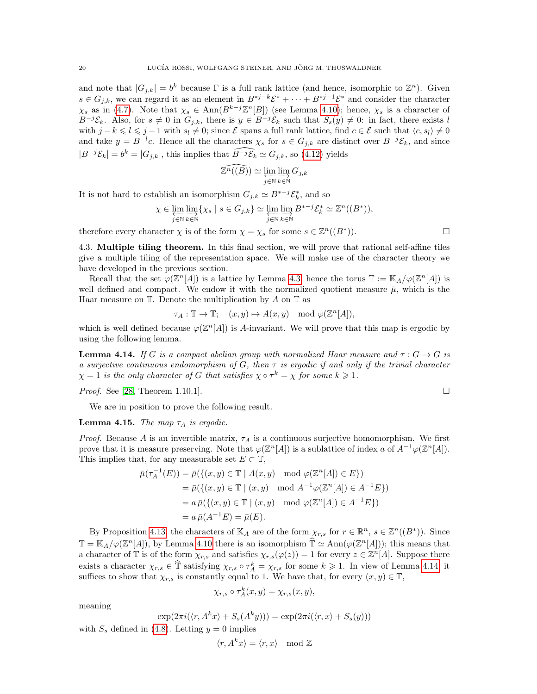and note that  $|G_{j,k}| = b^k$  because  $\Gamma$  is a full rank lattice (and hence, isomorphic to  $\mathbb{Z}^n$ ). Given  $s \in G_{j,k}$ , we can regard it as an element in  $B^{*j-k} \mathcal{E}^* + \cdots + B^{*j-1} \mathcal{E}^*$  and consider the character  $\chi_s$  as in [\(4.7\)](#page-16-0). Note that  $\chi_s \in \text{Ann}(B^{k-j}\mathbb{Z}^n[B])$  (see Lemma [4.10\)](#page-16-3); hence,  $\chi_s$  is a character of  $B^{-j}\mathcal{E}_k$ . Also, for  $s \neq 0$  in  $G_{j,k}$ , there is  $y \in B^{-j}\mathcal{E}_k$  such that  $S_s(y) \neq 0$ : in fact, there exists l with  $j - k \leq l \leq j - 1$  with  $s_l \neq 0$ ; since  $\mathcal E$  spans a full rank lattice, find  $c \in \mathcal E$  such that  $\langle c, s_l \rangle \neq 0$ and take  $y = B^{-l}c$ . Hence all the characters  $\chi_s$  for  $s \in G_{j,k}$  are distinct over  $B^{-j}\mathcal{E}_k$ , and since  $|B^{-j}\mathcal{E}_k| = b^k = |G_{j,k}|$ , this implies that  $\widehat{B^{-j}\mathcal{E}_k} \simeq G_{j,k}$ , so [\(4.12\)](#page-18-0) yields

$$
\widehat{\mathbb{Z}^n((B))} \simeq \varprojlim_{j \in \mathbb{N}} \varinjlim_{k \in \mathbb{N}} G_{j,k}
$$

It is not hard to establish an isomorphism  $G_{j,k} \simeq B^{*j} \mathcal{E}_k^*$ , and so

$$
\chi \in \varprojlim_{j \in \mathbb{N}} \varinjlim_{k \in \mathbb{N}} \{ \chi_s \mid s \in G_{j,k} \} \simeq \varprojlim_{j \in \mathbb{N}} \varinjlim_{k \in \mathbb{N}} B^{*-j} \mathcal{E}_k^* \simeq \mathbb{Z}^n((B^*)),
$$

therefore every character  $\chi$  is of the form  $\chi = \chi_s$  for some  $s \in \mathbb{Z}^n((B^*$ 

4.3. Multiple tiling theorem. In this final section, we will prove that rational self-affine tiles give a multiple tiling of the representation space. We will make use of the character theory we have developed in the previous section.

Recall that the set  $\varphi(\mathbb{Z}^n[A])$  is a lattice by Lemma [4.3,](#page-14-0) hence the torus  $\mathbb{T} := \mathbb{K}_A/\varphi(\mathbb{Z}^n[A])$  is well defined and compact. We endow it with the normalized quotient measure  $\bar{\mu}$ , which is the Haar measure on  $\mathbb T$ . Denote the multiplication by A on  $\mathbb T$  as

$$
\tau_A: \mathbb{T} \to \mathbb{T}; \quad (x, y) \mapsto A(x, y) \mod \varphi(\mathbb{Z}^n[A]),
$$

which is well defined because  $\varphi(\mathbb{Z}^n[A])$  is A-invariant. We will prove that this map is ergodic by using the following lemma.

<span id="page-19-0"></span>**Lemma 4.14.** If G is a compact abelian group with normalized Haar measure and  $\tau : G \to G$  is a surjective continuous endomorphism of G, then  $\tau$  is ergodic if and only if the trivial character  $\chi = 1$  is the only character of G that satisfies  $\chi \circ \tau^k = \chi$  for some  $k \geq 1$ .

*Proof.* See [\[28,](#page-22-20) Theorem 1.10.1].

We are in position to prove the following result.

<span id="page-19-1"></span>**Lemma 4.15.** The map  $\tau_A$  is ergodic.

Proof. Because A is an invertible matrix,  $\tau_A$  is a continuous surjective homomorphism. We first prove that it is measure preserving. Note that  $\varphi(\mathbb{Z}^n[A])$  is a sublattice of index a of  $A^{-1}\varphi(\mathbb{Z}^n[A])$ . This implies that, for any measurable set  $E \subset \mathbb{T}$ ,

$$
\bar{\mu}(\tau_A^{-1}(E)) = \bar{\mu}(\{(x, y) \in \mathbb{T} \mid A(x, y) \mod \varphi(\mathbb{Z}^n[A]) \in E\})
$$
  
\n
$$
= \bar{\mu}(\{(x, y) \in \mathbb{T} \mid (x, y) \mod A^{-1}\varphi(\mathbb{Z}^n[A]) \in A^{-1}E\})
$$
  
\n
$$
= a \bar{\mu}(\{(x, y) \in \mathbb{T} \mid (x, y) \mod \varphi(\mathbb{Z}^n[A]) \in A^{-1}E\})
$$
  
\n
$$
= a \bar{\mu}(A^{-1}E) = \bar{\mu}(E).
$$

By Proposition [4.13,](#page-18-1) the characters of  $\mathbb{K}_A$  are of the form  $\chi_{r,s}$  for  $r \in \mathbb{R}^n$ ,  $s \in \mathbb{Z}^n((B^*))$ . Since  $\mathbb{T} = \mathbb{K}_A/\varphi(\mathbb{Z}^n[A]),$  by Lemma [4.10](#page-16-3) there is an isomorphism  $\widehat{\mathbb{T}} \simeq \text{Ann}(\varphi(\mathbb{Z}^n[A]))$ ; this means that a character of  $\mathbb T$  is of the form  $\chi_{r,s}$  and satisfies  $\chi_{r,s}(\varphi(z))=1$  for every  $z\in\mathbb Z^n[A]$ . Suppose there exists a character  $\chi_{r,s} \in \hat{\mathbb{T}}$  satisfying  $\chi_{r,s} \circ \tau_A^k = \chi_{r,s}$  for some  $k \geq 1$ . In view of Lemma [4.14,](#page-19-0) it suffices to show that  $\chi_{r,s}$  is constantly equal to 1. We have that, for every  $(x, y) \in \mathbb{T}$ ,

$$
\chi_{r,s} \circ \tau_A^k(x,y) = \chi_{r,s}(x,y),
$$

meaning

$$
\exp(2\pi i(\langle r, A^k x\rangle + S_s(A^k y))) = \exp(2\pi i(\langle r, x\rangle + S_s(y)))
$$

with  $S_s$  defined in [\(4.8\)](#page-16-2). Letting  $y = 0$  implies

$$
\langle r, A^k x \rangle = \langle r, x \rangle \mod \mathbb{Z}
$$

)).  $\qquad \qquad \Box$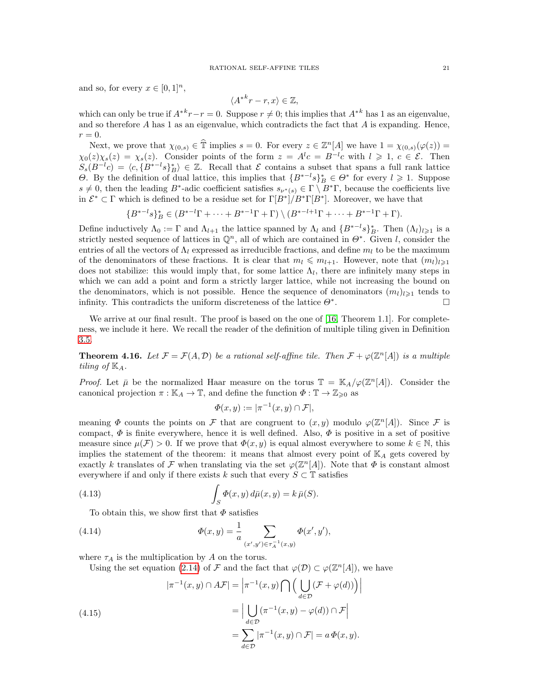and so, for every  $x \in [0,1]^n$ ,

$$
\langle A^{*k}r - r, x \rangle \in \mathbb{Z},
$$

which can only be true if  $A^{*k}r - r = 0$ . Suppose  $r \neq 0$ ; this implies that  $A^{*k}$  has 1 as an eigenvalue, and so therefore  $A$  has 1 as an eigenvalue, which contradicts the fact that  $A$  is expanding. Hence,  $r = 0$ .

Next, we prove that  $\chi_{(0,s)} \in \hat{\mathbb{T}}$  implies  $s = 0$ . For every  $z \in \mathbb{Z}^n[A]$  we have  $1 = \chi_{(0,s)}(\varphi(z)) =$  $\chi_0(z)\chi_s(z) = \chi_s(z)$ . Consider points of the form  $z = A^lc = B^{-lc}$  with  $l \geq 1, c \in \mathcal{E}$ . Then  $S_s(B^{-l}c) = \langle c, {B^*}^{-l}s \rangle_B^* \rangle \in \mathbb{Z}$ . Recall that  $\mathcal E$  contains a subset that spans a full rank lattice  $Θ$ . By the definition of dual lattice, this implies that  ${B^*}^{-l} s)_B^* ∈ Θ^*$  for every  $l \ge 1$ . Suppose  $s \neq 0$ , then the leading B<sup>\*</sup>-adic coefficient satisfies  $s_{\nu^*(s)} \in \Gamma \setminus B^*$ , because the coefficients live in  $\mathcal{E}^* \subset \Gamma$  which is defined to be a residue set for  $\Gamma[B^*]/B^*\Gamma[B^*]$ . Moreover, we have that

$$
\{B^{*-l}s\}_B^* \in (B^{*-l}\Gamma + \dots + B^{*-1}\Gamma + \Gamma) \setminus (B^{*-l+1}\Gamma + \dots + B^{*-1}\Gamma + \Gamma).
$$

Define inductively  $\Lambda_0 := \Gamma$  and  $\Lambda_{l+1}$  the lattice spanned by  $\Lambda_l$  and  $\{B^{*-1}s\}_B^*$ . Then  $(\Lambda_l)_{l\geqslant1}$  is a strictly nested sequence of lattices in  $\mathbb{Q}^n$ , all of which are contained in  $\Theta^*$ . Given l, consider the entries of all the vectors of  $\Lambda_l$  expressed as irreducible fractions, and define  $m_l$  to be the maximum of the denominators of these fractions. It is clear that  $m_l \leq m_{l+1}$ . However, note that  $(m_l)_{l\geq 1}$ does not stabilize: this would imply that, for some lattice  $\Lambda_l$ , there are infinitely many steps in which we can add a point and form a strictly larger lattice, while not increasing the bound on the denominators, which is not possible. Hence the sequence of denominators  $(m_l)_{l\geq 1}$  tends to infinity. This contradicts the uniform discreteness of the lattice  $\Theta^*$ . .

We arrive at our final result. The proof is based on the one of [\[16,](#page-22-2) Theorem 1.1]. For completeness, we include it here. We recall the reader of the definition of multiple tiling given in Definition [3.5.](#page-10-2)

<span id="page-20-0"></span>**Theorem 4.16.** Let  $\mathcal{F} = \mathcal{F}(A, \mathcal{D})$  be a rational self-affine tile. Then  $\mathcal{F} + \varphi(\mathbb{Z}^n[A])$  is a multiple tiling of  $\mathbb{K}_A$ .

*Proof.* Let  $\bar{\mu}$  be the normalized Haar measure on the torus  $\mathbb{T} = \mathbb{K}_A/\varphi(\mathbb{Z}^n[A])$ . Consider the canonical projection  $\pi : \mathbb{K}_A \to \mathbb{T}$ , and define the function  $\Phi : \mathbb{T} \to \mathbb{Z}_{\geq 0}$  as

$$
\Phi(x, y) := |\pi^{-1}(x, y) \cap \mathcal{F}|,
$$

meaning  $\Phi$  counts the points on  $\mathcal F$  that are congruent to  $(x, y)$  modulo  $\varphi(\mathbb Z^n[A])$ . Since  $\mathcal F$  is compact,  $\Phi$  is finite everywhere, hence it is well defined. Also,  $\Phi$  is positive in a set of positive measure since  $\mu(\mathcal{F}) > 0$ . If we prove that  $\Phi(x, y)$  is equal almost everywhere to some  $k \in \mathbb{N}$ , this implies the statement of the theorem: it means that almost every point of  $K_A$  gets covered by exactly k translates of F when translating via the set  $\varphi(\mathbb{Z}^n[A])$ . Note that  $\Phi$  is constant almost everywhere if and only if there exists k such that every  $S \subset \mathbb{T}$  satisfies

(4.13) 
$$
\int_{S} \Phi(x, y) d\bar{\mu}(x, y) = k \bar{\mu}(S).
$$

<span id="page-20-2"></span>To obtain this, we show first that  $\Phi$  satisfies

(4.14) 
$$
\Phi(x,y) = \frac{1}{a} \sum_{(x',y') \in \tau_A^{-1}(x,y)} \Phi(x',y'),
$$

where  $\tau_A$  is the multiplication by A on the torus.

Using the set equation [\(2.14\)](#page-6-3) of F and the fact that  $\varphi(\mathcal{D}) \subset \varphi(\mathbb{Z}^n[A])$ , we have

<span id="page-20-1"></span>(4.15)  

$$
|\pi^{-1}(x, y) \cap A\mathcal{F}| = \left|\pi^{-1}(x, y) \bigcap \left(\bigcup_{d \in \mathcal{D}} (\mathcal{F} + \varphi(d))\right)\right|
$$

$$
= \left|\bigcup_{d \in \mathcal{D}} (\pi^{-1}(x, y) - \varphi(d)) \cap \mathcal{F}\right|
$$

$$
= \sum_{d \in \mathcal{D}} |\pi^{-1}(x, y) \cap \mathcal{F}| = a \Phi(x, y).
$$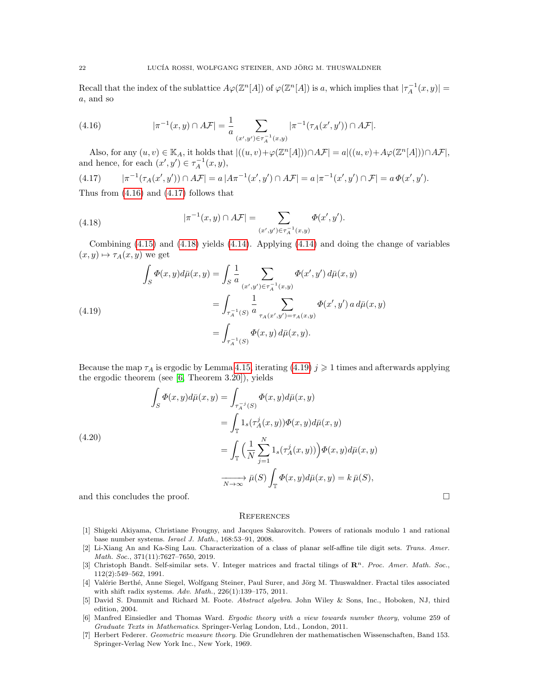Recall that the index of the sublattice  $A\varphi(\mathbb{Z}^n[A])$  of  $\varphi(\mathbb{Z}^n[A])$  is a, which implies that  $|\tau_A^{-1}(x,y)| =$ a, and so

<span id="page-21-6"></span>(4.16) 
$$
|\pi^{-1}(x,y) \cap A\mathcal{F}| = \frac{1}{a} \sum_{(x',y') \in \tau_A^{-1}(x,y)} |\pi^{-1}(\tau_A(x',y')) \cap A\mathcal{F}|.
$$

Also, for any  $(u, v) \in \mathbb{K}_A$ , it holds that  $|((u, v)+\varphi(\mathbb{Z}^n[A])) \cap A\mathcal{F}| = a|((u, v)+A\varphi(\mathbb{Z}^n[A])) \cap A\mathcal{F}|$ , and hence, for each  $(x', y') \in \tau_A^{-1}(x, y)$ ,

<span id="page-21-7"></span>
$$
(4.17) \qquad |\pi^{-1}(\tau_A(x',y')) \cap A\mathcal{F}| = a \, |A\pi^{-1}(x',y') \cap A\mathcal{F}| = a \, |\pi^{-1}(x',y') \cap \mathcal{F}| = a \, \Phi(x',y').
$$

Thus from [\(4.16\)](#page-21-6) and [\(4.17\)](#page-21-7) follows that

<span id="page-21-8"></span>(4.18) 
$$
|\pi^{-1}(x,y) \cap A\mathcal{F}| = \sum_{(x',y') \in \tau_A^{-1}(x,y)} \Phi(x',y').
$$

Combining [\(4.15\)](#page-20-1) and [\(4.18\)](#page-21-8) yields [\(4.14\)](#page-20-2). Applying [\(4.14\)](#page-20-2) and doing the change of variables  $(x, y) \mapsto \tau_A(x, y)$  we get

<span id="page-21-9"></span>(4.19) 
$$
\int_{S} \Phi(x, y) d\bar{\mu}(x, y) = \int_{S} \frac{1}{a} \sum_{(x', y') \in \tau_A^{-1}(x, y)} \Phi(x', y') d\bar{\mu}(x, y)
$$

$$
= \int_{\tau_A^{-1}(S)} \frac{1}{a} \sum_{\tau_A(x', y') = \tau_A(x, y)} \Phi(x', y') a d\bar{\mu}(x, y)
$$

$$
= \int_{\tau_A^{-1}(S)} \Phi(x, y) d\bar{\mu}(x, y).
$$

Because the map  $\tau_A$  is ergodic by Lemma [4.15,](#page-19-1) iterating [\(4.19\)](#page-21-9)  $j \geqslant 1$  times and afterwards applying the ergodic theorem (see [\[6,](#page-21-10) Theorem 3.20]), yields

(4.20)  
\n
$$
\int_{S} \Phi(x, y) d\bar{\mu}(x, y) = \int_{\tau_{A}^{-j}(S)} \Phi(x, y) d\bar{\mu}(x, y)
$$
\n
$$
= \int_{\mathbb{T}} 1_{s}(\tau_{A}^{j}(x, y)) \Phi(x, y) d\bar{\mu}(x, y)
$$
\n
$$
= \int_{\mathbb{T}} \Big(\frac{1}{N} \sum_{j=1}^{N} 1_{s}(\tau_{A}^{j}(x, y))\Big) \Phi(x, y) d\bar{\mu}(x, y)
$$
\n
$$
\xrightarrow[N \to \infty]{} \bar{\mu}(S) \int_{\mathbb{T}} \Phi(x, y) d\bar{\mu}(x, y) = k \bar{\mu}(S),
$$

and this concludes the proof.  $\Box$ 

### **REFERENCES**

- <span id="page-21-2"></span>[1] Shigeki Akiyama, Christiane Frougny, and Jacques Sakarovitch. Powers of rationals modulo 1 and rational base number systems. Israel J. Math., 168:53–91, 2008.
- <span id="page-21-1"></span>[2] Li-Xiang An and Ka-Sing Lau. Characterization of a class of planar self-affine tile digit sets. Trans. Amer. Math. Soc., 371(11):7627–7650, 2019.
- <span id="page-21-0"></span>[3] Christoph Bandt. Self-similar sets. V. Integer matrices and fractal tilings of  $\mathbb{R}^n$ . Proc. Amer. Math. Soc., 112(2):549–562, 1991.
- <span id="page-21-3"></span>[4] Valérie Berthé, Anne Siegel, Wolfgang Steiner, Paul Surer, and Jörg M. Thuswaldner. Fractal tiles associated with shift radix systems. Adv. Math., 226(1):139–175, 2011.
- <span id="page-21-4"></span>[5] David S. Dummit and Richard M. Foote. Abstract algebra. John Wiley & Sons, Inc., Hoboken, NJ, third edition, 2004.
- <span id="page-21-10"></span>[6] Manfred Einsiedler and Thomas Ward. Ergodic theory with a view towards number theory, volume 259 of Graduate Texts in Mathematics. Springer-Verlag London, Ltd., London, 2011.
- <span id="page-21-5"></span>[7] Herbert Federer. Geometric measure theory. Die Grundlehren der mathematischen Wissenschaften, Band 153. Springer-Verlag New York Inc., New York, 1969.